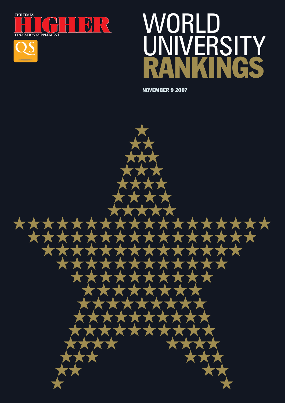



## WORLD ERSITY **RANKINGS**

**NOVEMBER 9 2007**

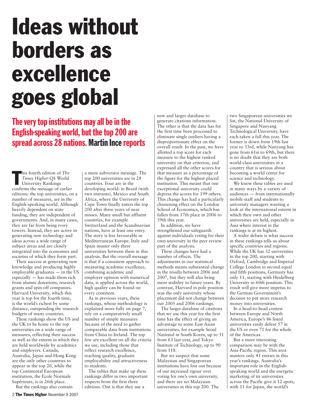### **Ideas without borders as excellence goes global**

The very top institutions may all be in the English-speaking world, but the top 200 are spread across 28 nations. Martin Ince reports

his fourth edition of *The*<br> *Times Higher-QS* World<br>
University Rankings<br>
confirms the message of earlier his fourth edition of *The Times Higher*-QS World University Rankings editions: the top universities, on a number of measures, are in the English-speaking world. Although heavily dependent on state funding, they are independent of governments. And, in many cases, they are far from being ivory towers. Instead, they are active in generating new technology and ideas across a wide range of subject areas and are closely integrated into the economies and societies of which they form part.

Their success at generating new knowledge and producing highly employable graduates — in the US especially — has made them rich from alumni donations, research grants and spin-off companies. Harvard University, which this year is top for the fourth time, is the world's richest by some distance, outspending the research budgets of many countries.

These rankings show the US and the UK to be home to the top universities on a wide range of measures, reflecting their success as well as the esteem in which they are held worldwide by academics and employers. Canada, Australia, Japan and Hong Kong are the only other countries to appear in the top 20, while the top Continental European institution, the Ecole Normale Supérieure, is in 26th place.

But the rankings also contain

a more subversive message. The top 200 universities are in 28 countries. Four are in the developing world: in Brazil (with two entrants), Mexico and South Africa, where the University of Cape Town finally enters the top 200 after three years of near misses. Many small but affluent countries, for example Switzerland and the Scandinavian nations, have at least one entry. The story is less favourable in Mediterranean Europe. Italy and Spain muster only three universities between them in this analysis. But the overall message is that if a consistent approach to measuring academic excellence, combining academic and employer opinion with numerical data, is applied across the world, high quality can be found on every continent.

As in previous years, these rankings, whose methodology is explained more fully on page 7, rely on a comparatively small number of simple measures because of the need to gather comparable data from institutions from China to Ireland. The top few are excellent on all the criteria we use, including those that reflect research excellence, teaching quality, graduate employability and attractiveness to students.

The tables that make up these rankings differ in two important respects from the first three editions. One is that they use a

new and larger database to generate citations information. The other is that the data has for the first time been processed to eliminate single outliers having a disproportionate effect on the overall result. In the past, we have allotted a top score for each measure to the highest ranked university on that criterion, and expressed all the other scores for that measure as a percentage of the figure for the highest placed institution. This meant that one exceptional university could depress the scores for 199 others. This change has had a particularly chastening effect on the London School of Economics, which has fallen from 17th place in 2006 to 59th this year.

In addition, we have strengthened our safeguards against individuals voting for their own university in the peer review part of the analysis.

These changes have had a number of effects. The adjustments in our statistical methods means substantial change in the results between 2006 and 2007, but they will also bring more stability in future years. By contrast, Harvard in pole position was the only university whose placement did not change between our 2005 and 2006 rankings.

The larger database of citations that we use this year for the first time has the effect of giving an advantage to some East Asian universities, for example Seoul National in South Korea, up to 51 from 63 last year, and Tokyo Institute of Technology, up to 90 from 118.

But we suspect that some Malaysian and Singaporean institutions have lost out because of our increased rigour over voting for one's own university, and there are no Malaysian universities in this top 200. The

two Singaporean universities we list, the National University of Singapore and Nanyang Technological University, have each taken a fall this year. The former is down from 19th last year to 33rd, while Nanyang has gone from 61st to 69th, but there is no doubt that they are both world-class universities in a country that is serious about becoming a world centre for science and technology.

We know these tables are used in many ways by a variety of audiences — from internationally mobile staff and students to university managers wanting a look at the international esteem in which their own and other universities are held, especially in Asia where interest in the rankings is at its highest.

A wider debate is what success in these rankings tells us about specific countries and regions. While the UK has 32 universities in the top 200, starting with Oxford, Cambridge and Imperial College London in second equal and fifth positions, Germany has only 11, starting with Heidelberg University in 60th position. This result will give more impetus to the German Government's decision to put more research money into universities.

In a head-to-head contest between Europe and North America, Europe's 86 listed universities easily defeat 57 in the US or even 71 for the whole of the Americas.

But a more interesting comparison may be with the Asia-Pacific region. This area musters only 41 entries in this year's rankings. Australia's important role in the Englishspeaking world and the energetic marketing of its universities across the Pacific give it 12 spots, with 11 for Japan, the world's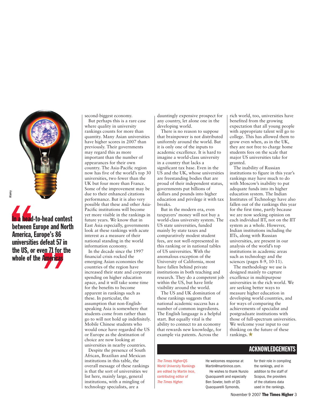

E<sub>sta</sub><br> **Continues**<br> **Continues**<br> **Continues**<br> **Continues**<br> **Continues**<br> **Continues**<br> **Continues**<br> **Continues**<br> **Continues** defeat 57 in<br>ven 71 for the<br>**Americas In a head-to-head contest between Europe and North America, Europe's 86 universities defeat 57 in the US, or even 71 for the whole** of the Americas

second-biggest economy.

But perhaps this is a rare case where quality in university rankings counts for more than quantity. Many Asian universities have higher scores in 2007 than previously. Their governments may regard this as more important than the number of appearances for their own country. The Asia-Pacific region now has five of the world's top 30 universities, two fewer than the UK but four more than France. Some of the improvement may be due to their enhanced citations performance. But it is also very possible that these and other Asia-Pacific institutions will become yet more visible in the rankings in future years. We know that in East Asia especially, governments look at these rankings with acute interest as a measure of their national standing in the world information economy.

In the decade since the 1997 financial crisis rocked the emerging Asian economies the countries of the region have increased their state and corporate spending on higher education apace, and it will take some time for the benefits to become apparent in rankings such as these. In particular, the assumption that non-Englishspeaking Asia is somewhere that students come from rather than go to will not hold up indefinitely. Mobile Chinese students who would once have regarded the US or Europe as the destination of choice are now looking at universities in nearby countries.

Despite the presence of South African, Brazilian and Mexican institutions in this table, the overall message of these rankings is that the sort of universities we list here, mainly large, general institutions, with a mingling of technology specialists, are a

dauntingly expensive prospect for any country, let alone one in the developing world.

There is no reason to suppose that brainpower is not distributed uniformly around the world. But it is only one of the inputs to academic excellence. It is hard to imagine a world-class university in a country that lacks a significant tax base. Even in the US and the UK, whose universities are freestanding bodies that are proud of their independent status, governments put billions of dollars and pounds into higher education and privilege it with tax breaks.

But in the modern era, even taxpayers' money will not buy a world-class university system. The US state universities, funded mainly by state taxes and comparatively modest student fees, are not well-represented in this ranking or in national tables of US universities. With the anomalous exception of the University of California, most have fallen behind private institutions in both teaching and research. They do a competent job within the US, but have little visibility around the world.

The US and UK domination of these rankings suggests that national academic success has a number of common ingredients. The English language is a helpful start. But equally vital is the ability to connect to an economy that rewards new knowledge, for example via patents. Across the

rich world, too, universities have benefited from the growing expectation that all young people with appropriate talent will go to college. This has allowed them to grow even when, as in the UK, they are not free to charge home students fees on the scale that major US universities take for granted.

The inability of Russian institutions to figure in this year's rankings may have much to do with Moscow's inability to put adequate funds into its higher education system. The Indian Institutes of Technology have also fallen out of the rankings this year for the first time, partly because we are now seeking opinion on each individual IIT, not on the IIT system as a whole. However, Indian institutions including the IITs, along with Russian universities, are present in our analysis of the world's top institutions in academic areas such as technology and the sciences (pages 8-9, 10-11).

The methodology we use is designed mainly to capture excellence in multipurpose universities in the rich world. We are seeking better ways to measure higher education in developing world countries, and for ways of comparing the achievements of specialist and postgraduate institutions with those of full-spectrum universities. We welcome your input to our thinking on the future of these rankings.  $\star$ 

#### **ACKNOWLEDGEMENTS**

The Times Higher-QS World University Rankings are edited by Martin Ince, contributing editor of The Times Higher.

He welcomes response at Martin@martinince.com. He wishes to thank Nunzio Quacquarelli and especially Ben Sowter, both of QS Quacquarelli Symonds,

for their role in compiling the rankings, and in addition to the staff of Scopus, the providers of the citations data used in the rankings.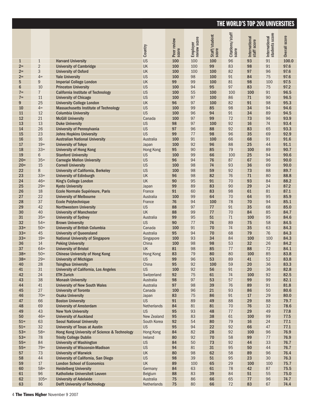|              |                |                                                                      | Country             | Peer review<br>score | Employer<br>review score | Staff/student<br>score | Citations/staff<br>score | International<br>staff score | International<br>students score | Overall score |
|--------------|----------------|----------------------------------------------------------------------|---------------------|----------------------|--------------------------|------------------------|--------------------------|------------------------------|---------------------------------|---------------|
| $\mathbf{1}$ | $\mathbf{1}$   | <b>Harvard University</b>                                            | <b>US</b>           | 100                  | 100                      | 100                    | 96                       | 93                           | 91                              | 100.0         |
| $2 =$        | $\overline{2}$ | <b>University of Cambridge</b>                                       | UK                  | 100                  | 100                      | 99                     | 83                       | 98                           | 91                              | 97.6          |
| $2=$         | 3              | <b>University of Oxford</b>                                          | UK                  | 100                  | 100                      | 100                    | 82                       | 97                           | 96                              | 97.6          |
| $2 =$        | $4=$           | <b>Yale University</b>                                               | <b>US</b>           | 100                  | 98                       | 100                    | 91                       | 84                           | 75                              | 97.6          |
| 5            | 9              | <b>Imperial College London</b>                                       | UK                  | 99                   | 99                       | 100                    | 81                       | 98                           | 100                             | 97.5          |
| 6            | 10             | <b>Princeton University</b>                                          | <b>US</b>           | 100                  | 94                       | 95                     | 97                       | 83                           | 75                              | 97.2          |
| $7 =$        | $\overline{7}$ | <b>California Institute of Technology</b>                            | <b>US</b>           | 100                  | 55                       | 100                    | 100                      | 100                          | 91                              | 96.5          |
| $7 =$        | 11             | <b>University of Chicago</b>                                         | <b>US</b>           | 100                  | 97                       | 100                    | 86                       | 71                           | 90                              | 96.5          |
| 9            | 25             | <b>University College London</b>                                     | UK                  | 96                   | 97                       | 100                    | 82                       | 91                           | 98                              | 95.3          |
| 10           | $4=$           | <b>Massachusetts Institute of Technology</b>                         | <b>US</b>           | 100                  | 99                       | 85                     | 98                       | 34                           | 94                              | 94.6          |
| 11           | 12             | <b>Columbia University</b>                                           | <b>US</b>           | 100                  | 96                       | 94                     | 91                       | 34                           | 89                              | 94.5          |
| 12           | 21             | <b>McGill University</b>                                             | Canada              | 100                  | 97                       | 99                     | 72                       | 73                           | 96                              | 93.9          |
| 13           | 13             | <b>Duke University</b>                                               | <b>US</b>           | 98                   | 97                       | 100                    | 92                       | 16                           | 74                              | 93.4          |
| 14           | 26             | <b>University of Pennsylvania</b>                                    | <b>US</b>           | 97                   | 96                       | 88                     | 92                       | 83                           | 65                              | 93.3          |
| 15           | 23             | <b>Johns Hopkins University</b>                                      | <b>US</b>           | 99                   | 77                       | 98                     | 96                       | 35                           | 69                              | 92.9          |
| 16           | 16             | <b>Australian National University</b>                                | Australia           | 100                  | 91                       | 100                    | 66                       | 68                           | 91                              | 91.6          |
| 17           | $19=$          | <b>University of Tokyo</b>                                           | Japan               | 100                  | 92                       | 96                     | 88                       | 25                           | 44                              | 91.1          |
| 18           | $33=$          | <b>University of Hong Kong</b>                                       | <b>Hong Kong</b>    | 95                   | 90                       | 85                     | 79                       | 100                          | 89                              | 90.7          |
| 19           | 6              | <b>Stanford University</b>                                           | <b>US</b>           | 100                  | 99                       | 66                     | 100                      | 25                           | 94                              | 90.6          |
| $20=$        | $35=$          | <b>Carnegie Mellon University</b>                                    | <b>US</b>           | 96                   | 94                       | 76                     | 87                       | 67                           | 96                              | 90.0          |
| $20=$        | 15             | <b>Cornell University</b>                                            | <b>US</b>           | 100                  | 98                       | 74                     | 93                       | 36                           | 69                              | 90.0          |
| 22           | 8              | <b>University of California, Berkeley</b>                            | <b>US</b>           | 100                  | 98                       | 59                     | 92                       | 73                           | 88                              | 89.7          |
| 23           | $33=$          | <b>University of Edinburgh</b>                                       | UK                  | 96                   | 98                       | 82                     | 76                       | 71                           | 80                              | 88.8          |
| 24           | $46=$          | King's College London                                                | <b>UK</b>           | 90                   | 95                       | 91                     | 70                       | 93                           | 84                              | 88.2          |
| 25           | $29=$          | <b>Kyoto University</b>                                              | Japan               | 99                   | 89                       | 83                     | 90                       | 29                           | 24                              | 87.2          |
| 26           | 18             | Ecole Normale Supérieure, Paris                                      | France              | 91                   | 60                       | 83                     | 98                       | 61                           | 81                              | 87.1          |
| 27           | 22             | <b>University of Melbourne</b>                                       | Australia           | 100                  | 99                       | 64                     | 70                       | 64                           | 95                              | 85.9          |
| 28           | 37             | <b>Ecole Polytechnique</b>                                           | France              | 76                   | 94                       | 100                    | 78                       | 70                           | 94                              | 85.1          |
| 29           | 42             | <b>Northwestern University</b>                                       | <b>US</b>           | 88                   | 97                       | 77                     | 91                       | 35                           | 68                              | 85.0          |
| 30           | 40             | <b>University of Manchester</b>                                      | <b>UK</b>           | 88                   | 99                       | 77                     | 70                       | 84                           | 85                              | 84.7          |
| 31           | $35=$          | <b>University of Sydney</b>                                          | Australia           | 99                   | 95                       | 51                     | 71                       | 100                          | 95                              | 84.6          |
| 32           | $54 =$         | <b>Brown University</b>                                              | <b>US</b>           | 90                   | 77                       | 74                     | 89                       | 75                           | 58                              | 84.5          |
| $33=$        | $50=$          | <b>University of British Columbia</b>                                | Canada              | 100                  | 91                       | 70                     | 74                       | 35                           | 63                              | 84.3          |
| $33=$        | 45             | <b>University of Queensland</b>                                      | Australia           | 95                   | 94                       | 70                     | 68                       | 79                           | 76                              | 84.3          |
| $33=$        | $19=$          | <b>National University of Singapore</b>                              | Singapore           | 100                  | 93                       | 34                     | 84                       | 100                          | 100                             | 84.3          |
| 36           | 14             | <b>Peking University</b>                                             | China               | 100                  | 98                       | 98                     | 53                       | 32                           | 26                              | 84.2          |
| 37           | $64 =$         | <b>University of Bristol</b>                                         | <b>UK</b>           | 81                   | 98                       | 85                     | 77                       | 88                           | $72\,$                          | 84.1          |
| $38=$        | $50=$          | <b>Chinese University of Hong Kong</b>                               | <b>Hong Kong</b>    | 83                   | 79                       | 80                     | 80                       | 100                          | 85                              | 83.8          |
| $38=$        | $29=$          | <b>University of Michigan</b>                                        | <b>US</b>           | 99                   | 96                       | 53                     | 89                       | 41                           | 52                              | 83.8          |
| 40           | 28             | <b>Tsinghua University</b>                                           | China               | 95                   | 92                       | 100                    | 59                       | 20                           | 36                              | 83.3          |
| 41           | 31             | <b>University of California, Los Angeles</b>                         | <b>US</b>           | 100                  | 92                       | 56                     | 91                       | 20                           | 36                              | 82.8          |
| 42<br>43     | 24<br>38       | <b>ETH Zurich</b>                                                    | Switzerland         | 92<br>98             | 75<br>97                 | 61<br>53               | 74<br>57                 | 100<br>99                    | 92<br>99                        | 82.5<br>82.1  |
|              |                | <b>Monash University</b>                                             | Australia           |                      |                          |                        |                          |                              |                                 |               |
| 44<br>45     | 41<br>27       | <b>University of New South Wales</b><br><b>University of Toronto</b> | Australia<br>Canada | 97<br>100            | 98<br>96                 | 39<br>21               | 76<br>93                 | 89<br>86                     | 91<br>50                        | 81.8<br>80.6  |
| 46           | $70 =$         |                                                                      |                     | 83                   | 75                       | 86                     | 91                       | 17                           | 29                              | 80.0          |
| 47           | 66             | <b>Osaka University</b><br><b>Boston University</b>                  | Japan<br><b>US</b>  | 91                   | 89                       | 49                     | 88                       | 29                           | 88                              | 79.7          |
| 48           | 69             | <b>University of Amsterdam</b>                                       | Netherlands         | 84                   | 81                       | 81                     | 70                       | 76                           | 32                              | 78.6          |
| 49           | 43             | <b>New York University</b>                                           | <b>US</b>           | 95                   | 93                       | 48                     | 77                       | 29                           | 49                              | 77.8          |
| 50           | $46=$          | <b>University of Auckland</b>                                        | New Zealand         | 95                   | 83                       | 38                     | 61                       | 100                          | 99                              | 77.5          |
| $51 =$       | 63             | <b>Seoul National University</b>                                     | South Korea         | 92                   | 54                       | 80                     | 79                       | 16                           | 24                              | 77.1          |
| $51 =$       | 32             | <b>University of Texas at Austin</b>                                 | <b>US</b>           | 95                   | 94                       | 22                     | 92                       | 66                           | 47                              | 77.1          |
| $53=$        | $58 =$         | Hong Kong University of Science & Technology                         | <b>Hong Kong</b>    | 84                   | 82                       | 28                     | 92                       | 100                          | 96                              | 76.9          |
| $53=$        | 78             | <b>Trinity College Dublin</b>                                        | Ireland             | 80                   | 92                       | 70                     | 58                       | 99                           | 77                              | 76.9          |
| $55 =$       | 84             | <b>University of Washington</b>                                      | US                  | 84                   | 50                       | 73                     | 92                       | 44                           | 33                              | 76.7          |
| $55 =$       | $79=$          | <b>University of Wisconsin-Madison</b>                               | US                  | 94                   | 81                       | 31                     | 95                       | 50                           | 44                              | 76.7          |
| 57           | 73             | <b>University of Warwick</b>                                         | UK                  | 80                   | 98                       | 62                     | 58                       | 89                           | 96                              | 76.4          |
| 58           | 44             | University of California, San Diego                                  | <b>US</b>           | 98                   | 39                       | 51                     | 95                       | 23                           | 30                              | 76.3          |
| 59           | $17\,$         | <b>London School of Economics</b>                                    | UK                  | 89                   | 100                      | 65                     | 29                       | 100                          | 100                             | 75.7          |
| 60           | $58 =$         | <b>Heidelberg University</b>                                         | Germany             | 84                   | 63                       | 61                     | 78                       | 42                           | 87                              | 75.5          |
| 61           | 96             | Katholieke Universiteit Leuven                                       | Belgium             | 88                   | 83                       | 39                     | 84                       | 51                           | 55                              | 75.0          |
| 62           | $105 =$        | <b>University of Adelaide</b>                                        | Australia           | 75                   | 86                       | 66                     | 65                       | $77\,$                       | 96                              | 74.7          |
| 63           | 86             | <b>Delft University of Technology</b>                                | Netherlands         | 75                   | 80                       | 66                     | $72\,$                   | 83                           | 67                              | 74.4          |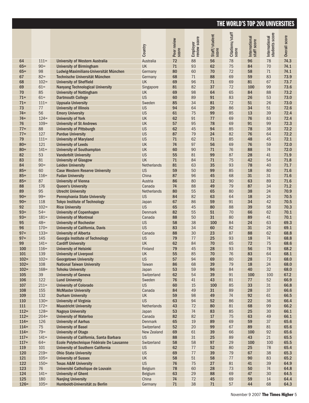|                    |                  |                                                                  |                          | Peer review<br>score | Employer<br>review score | Staff/student<br>score | Citations/staff | International<br>staff score | International<br>students score | Overall score |
|--------------------|------------------|------------------------------------------------------------------|--------------------------|----------------------|--------------------------|------------------------|-----------------|------------------------------|---------------------------------|---------------|
|                    |                  |                                                                  | Country                  |                      |                          |                        | score           |                              |                                 |               |
| 64                 | $111 =$          | <b>University of Western Australia</b>                           | Australia                | 72                   | 88                       | 56                     | 78              | 96                           | 78                              | 74.3          |
| $65 =$             | $90 =$           | <b>University of Birmingham</b>                                  | UK                       | 71                   | 93                       | 62                     | 75              | 84                           | 70                              | 74.1          |
| $65 =$             | 98               | Ludwig-Maximilians-Universität München                           | Germany                  | 80                   | 60                       | 70                     | 72              | 58                           | 71                              | 74.1          |
| 67                 | $82 =$           | Technische Universität München                                   | Germany                  | 68                   | 71                       | 88                     | 69              | 59                           | 83                              | 73.9          |
| 68                 | $102 =$          | <b>University of Sheffield</b>                                   | <b>UK</b>                | 69                   | 96                       | 71                     | 69              | 81                           | 67                              | 73.7          |
| 69                 | $61 =$           | <b>Nanyang Technological University</b>                          | Singapore                | 81                   | 82                       | 37                     | 72              | 100                          | 99                              | 73.6          |
| 70<br>$71 =$       | 85<br>$61 =$     | <b>University of Nottingham</b><br><b>Dartmouth College</b>      | UK<br><b>US</b>          | 69<br>60             | 98<br>89                 | 64<br>91               | 65<br>83        | 84<br>26                     | 88<br>53                        | 73.2<br>73.0  |
| $71 =$             | $111 =$          | <b>Uppsala University</b>                                        | Sweden                   | 85                   | 34                       | 81                     | 72              | 51                           | 26                              | 73.0          |
| 73                 | 77               | <b>University of Illinois</b>                                    | <b>US</b>                | 94                   | 64                       | 29                     | 86              | 34                           | 51                              | 72.6          |
| $74 =$             | 56               | <b>Emory University</b>                                          | <b>US</b>                | 61                   | 75                       | 99                     | 85              | 13                           | 39                              | 72.4          |
| $74 =$             | $124=$           | <b>University of York</b>                                        | UK                       | 62                   | 91                       | 77                     | 69              | 76                           | 83                              | 72.4          |
| 76                 | $109=$           | <b>University of St Andrews</b>                                  | UK                       | 57                   | 95                       | 78                     | 69              | 91                           | 99                              | 72.3          |
| $77 =$             | 88               | <b>University of Pittsburgh</b>                                  | <b>US</b>                | 62                   | 45                       | 94                     | 85              | 78                           | 38                              | 72.2          |
| $77 =$             | 127              | <b>Purdue University</b>                                         | <b>US</b>                | 87                   | 79                       | 24                     | 82              | 76                           | 64                              | 72.2          |
| 79                 | $111 =$          | <b>University of Maryland</b>                                    | <b>US</b>                | 71                   | 62                       | 71                     | 85              | 48                           | 45                              | 72.1          |
| $80 =$             | 121              | <b>University of Leeds</b>                                       | <b>UK</b>                | 74                   | 97                       | 56                     | 69              | 76                           | 59                              | 72.0          |
| $80 =$             | $141 =$<br>53    | <b>University of Southampton</b>                                 | UK<br><b>US</b>          | 60<br>55             | 90<br>81                 | 71<br>99               | 76<br>87        | 88<br>28                     | 74<br>41                        | 72.0          |
| 82<br>83           | 81               | <b>Vanderbilt University</b><br><b>University of Glasgow</b>     | UK                       | 71                   | 84                       | 71                     | 75              | 42                           | 54                              | 71.9<br>71.8  |
| 84                 | $90 =$           | <b>Leiden University</b>                                         | Netherlands              | 81                   | 63                       | 35                     | 93              | 78                           | 40                              | 71.7          |
| $85 =$             | 60               | <b>Case Western Reserve University</b>                           | <b>US</b>                | 59                   | 50                       | 99                     | 85              | 18                           | 80                              | 71.6          |
| $85 =$             | $116=$           | <b>Fudan University</b>                                          | China                    | 87                   | 96                       | 45                     | 68              | 31                           | 31                              | 71.6          |
| $85 =$             | 87               | <b>University of Vienna</b>                                      | Austria                  | 86                   | 80                       | 12                     | 90              | 63                           | 89                              | 71.6          |
| 88                 | 176              | <b>Queen's University</b>                                        | Canada                   | 74                   | 88                       | 49                     | 79              | 87                           | 34                              | 71.2          |
| 89                 | 95               | <b>Utrecht University</b>                                        | Netherlands              | 80                   | 55                       | 65                     | 80              | 38                           | 24                              | 70.9          |
| $90 =$             | $99 =$           | Pennsylvania State University                                    | <b>US</b>                | 84                   | 82                       | 63                     | 64              | 18                           | 24                              | 70.5          |
| $90 =$             | 118              | <b>Tokyo Institute of Technology</b>                             | Japan                    | 67                   | 86                       | 59                     | 91              | 34                           | 42                              | 70.5          |
| 92<br>$93 =$       | $102 =$<br>$54=$ | <b>Rice University</b>                                           | <b>US</b>                | 65                   | 45                       | 80<br>51               | 88<br>70        | 39                           | 58<br>62                        | 70.3<br>70.1  |
| $93 =$             | $181=$           | <b>University of Copenhagen</b><br><b>University of Montreal</b> | <b>Denmark</b><br>Canada | 82<br>88             | 55<br>50                 | 31                     | 80              | 66<br>89                     | 41                              | 70.1          |
| 95                 | $48 =$           | <b>University of Rochester</b>                                   | <b>US</b>                | 58                   | 38                       | 100                    | 84              | 24                           | 63                              | 69.3          |
| 96                 | $170=$           | <b>University of California, Davis</b>                           | <b>US</b>                | 83                   | 34                       | 60                     | 82              | 31                           | 26                              | 69.1          |
| $97 =$             | $133 =$          | <b>University of Alberta</b>                                     | Canada                   | 88                   | 30                       | 23                     | 87              | 88                           | 62                              | 68.8          |
| $97 =$             | 145              | <b>Georgia Institute of Technology</b>                           | <b>US</b>                | 79                   | 77                       | 25                     | 93              | 18                           | 74                              | 68.8          |
| 99                 | $141=$           | <b>Cardiff University</b>                                        | <b>UK</b>                | 62                   | 84                       | 70                     | 65              | 72                           | 75                              | 68.6          |
| 100                | $116=$           | <b>University of Helsinki</b>                                    | Finland                  | 79                   | 45                       | 28                     | 93              | 56                           | 78                              | 68.2          |
| 101                | 139              | <b>University of Liverpool</b>                                   | UK                       | 55                   | 85                       | 70                     | 76              | 83                           | 64                              | 68.1          |
| $102 =$            | $102=$           | <b>Georgetown University</b>                                     | <b>US</b>                | 57                   | 94                       | 69                     | 80              | 28                           | 73                              | 68.0          |
| $102 =$<br>$102 =$ | 108<br>$168 =$   | <b>National Taiwan University</b><br><b>Tohoku University</b>    | Taiwan<br>Japan          | 86<br>53             | 68<br>59                 | 39<br>96               | 79<br>84        | 18<br>40                     | 24<br>32                        | 68.0<br>68.0  |
| 105                | 39               | <b>University of Geneva</b>                                      | Switzerland              | 62                   | 54                       | 39                     | 91              | 100                          | 100                             | 67.2          |
| 106                | 122              | <b>Lund University</b>                                           | Sweden                   | 76                   | 41                       | 43                     | 81              | 77                           | 52                              | 66.9          |
| 107                | $211=$           | <b>University of Colorado</b>                                    | US                       | 60                   | 15                       | 100                    | 85              | 33                           | 31                              | 66.8          |
| 108                | 155              | <b>McMaster University</b>                                       | Canada                   | 84                   | 49                       | 31                     | 89              | 28                           | 37                              | 66.6          |
| 109                | 132              | <b>Durham University</b>                                         | UK                       | 59                   | 98                       | 49                     | 74              | 92                           | 61                              | 66.5          |
| 110                | $130=$           | <b>University of Virginia</b>                                    | <b>US</b>                | 63                   | 94                       | 52                     | 86              | 22                           | 36                              | 66.4          |
| 111                | $172 =$          | <b>Maastricht University</b>                                     | Netherlands              | 43                   | 72                       | 80                     | 81              | 68                           | 99                              | 66.2          |
| $112=$             | $128 =$          | <b>Nagoya University</b>                                         | Japan                    | 53                   | 74                       | 83                     | 85              | 25                           | 30                              | 66.1          |
| $112=$<br>$114=$   | $204=$<br>126    | <b>University of Waterloo</b><br><b>University of Aarhus</b>     | Canada<br>Denmark        | 82<br>65             | 82<br>19                 | $17\,$<br>89           | 75<br>69        | 63<br>59                     | 49<br>37                        | 66.1<br>65.6  |
| $114=$             | 75               | <b>University of Basel</b>                                       | Switzerland              | 52                   | 20                       | 99                     | 67              | 89                           | 81                              | 65.6          |
| $114=$             | $79 =$           | <b>University of Otago</b>                                       | New Zealand              | 69                   | 61                       | 39                     | 66              | 100                          | 92                              | 65.6          |
| $117=$             | $141 =$          | University of California, Santa Barbara                          | US                       | 88                   | 31                       | 25                     | 89              | 43                           | 21                              | 65.5          |
| $117=$             | $64 =$           | Ecole Polytechnique Fédérale De Lausanne                         | Switzerland              | 58                   | 58                       | 97                     | 29              | 100                          | 100                             | 65.5          |
| 119                | 101              | <b>University of Southern California</b>                         | US                       | 62                   | $77 \,$                  | 52                     | 80              | 25                           | 78                              | 65.4          |
| 120                | $219=$           | <b>Ohio State University</b>                                     | <b>US</b>                | 69                   | 77                       | 39                     | 79              | 67                           | 38                              | 65.3          |
| 121                | $105 =$          | <b>University of Sussex</b>                                      | UK                       | 58                   | $51\,$                   | 58                     | $77 \,$         | 90                           | 83                              | 65.2          |
| 122                | $150=$           | <b>Texas A&amp;M University</b>                                  | <b>US</b>                | 76                   | 75                       | 27                     | 81              | 41                           | 39                              | 64.9          |
| 123<br>124         | 76<br>$141 =$    | Université Catholique de Louvain<br><b>University of Ghent</b>   | Belgium<br>Belgium       | 78<br>63             | 60<br>29                 | 28<br>88               | 73<br>69        | 50<br>47                     | 74<br>30                        | 64.8<br>64.5  |
| 125                | 180              | <b>Nanjing University</b>                                        | China                    | 74                   | 72                       | 45                     | 69              | 59                           | $14\,$                          | 64.4          |
| $126 =$            | $105 =$          | Humboldt-Universität zu Berlin                                   | Germany                  | 71                   | 38                       | $71\,$                 | 57              | 44                           | 68                              | 64.3          |
|                    |                  |                                                                  |                          |                      |                          |                        |                 |                              |                                 |               |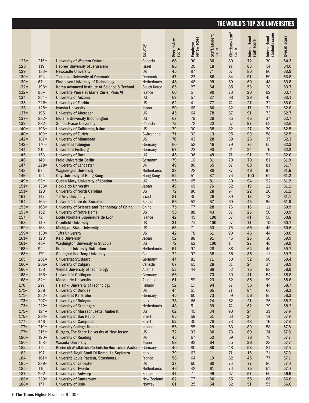|         |         |                                                     | Country       | Peer review<br>score | Employer<br>review score | Staff/student<br>score | Citations/staff<br>score | International<br>staff score | International<br>students score | Overall score |
|---------|---------|-----------------------------------------------------|---------------|----------------------|--------------------------|------------------------|--------------------------|------------------------------|---------------------------------|---------------|
| $126=$  | $215=$  | <b>University of Western Ontario</b>                | Canada        | 68                   | 90                       | 30                     | 80                       | 72                           | 30                              | 64.3          |
| 128     | 119     | <b>Hebrew University of Jerusalem</b>               | <b>Israel</b> | 86                   | 20                       | 18                     | 91                       | 83                           | 14                              | 64.0          |
| 129     | $133 =$ | <b>Newcastle University</b>                         | <b>UK</b>     | 45                   | 87                       | 74                     | 67                       | 80                           | 80                              | 63.9          |
| $130=$  | 194     | <b>Technical University of Denmark</b>              | Denmark       | 47                   | 23                       | 86                     | 84                       | 91                           | 59                              | 63.8          |
| $130=$  | 67      | <b>Eindhoven University of Technology</b>           | Netherlands   | 48                   | 48                       | 99                     | 69                       | 60                           | 48                              | 63.8          |
| $132=$  | $198 =$ | Korea Advanced Institute of Science & Technol       | South Korea   | 65                   | 27                       | 64                     | 85                       | 53                           | 28                              | 63.7          |
| $132=$  | $93 =$  | Université Pierre et Marie Curie, Paris VI          | France        | 60                   | 5                        | 90                     | 73                       | 20                           | 92                              | 63.7          |
| 134     | $224=$  | <b>University of Arizona</b>                        | <b>US</b>     | 69                   | 57                       | 37                     | 88                       | 28                           | 45                              | 63.1          |
| 135     | $226=$  | <b>University of Florida</b>                        | <b>US</b>     | 62                   | 41                       | 77                     | 74                       | 27                           | 32                              | 63.0          |
| 136     | $128=$  | <b>Kyushu University</b>                            | Japan         | 50                   | 68                       | 80                     | 82                       | 17                           | 31                              | 62.8          |
| $137=$  | 195     | <b>University of Aberdeen</b>                       | <b>UK</b>     | 45                   | 64                       | 78                     | 67                       | 91                           | 73                              | 62.7          |
| $137=$  | $232=$  | <b>Indiana University Bloomington</b>               | <b>US</b>     | 67                   | 79                       | 28                     | 85                       | 45                           | 37                              | 62.7          |
| 139     | $282=$  | <b>Simon Fraser University</b>                      | Canada        | 72                   | 72                       | 22                     | 67                       | 97                           | 62                              | 62.6          |
| $140=$  | $198 =$ | University of California, Irvine                    | <b>US</b>     | 79                   | 30                       | 38                     | 82                       | 27                           | 30                              | 62.5          |
| $140=$  | $109=$  | <b>University of Zurich</b>                         | Switzerland   | 71                   | 32                       | 13                     | 95                       | 99                           | 58                              | 62.5          |
| $142=$  | $187 =$ | <b>University of Minnesota</b>                      | <b>US</b>     | 76                   | 43                       | 28                     | 89                       | 26                           | 35                              | 62.3          |
| $142=$  | $170=$  | Universität Tübingen                                | Germany       | 60                   | 52                       | 46                     | 79                       | 76                           | 65                              | 62.3          |
| 144     | $219=$  | Universität Freiburg                                | Germany       | 57                   | 23                       | 93                     | 61                       | 24                           | 76                              | 62.2          |
| 145     | 153     | <b>University of Bath</b>                           | <b>UK</b>     | 46                   | 96                       | 49                     | 71                       | 91                           | 91                              | 62.0          |
| 146     | 149     | Freie Universität Berlin                            | Germany       | 79                   | 16                       | 31                     | 70                       | 70                           | 81                              | 61.9          |
| 147     | $228=$  | <b>University of Lancaster</b>                      | <b>UK</b>     | 49                   | 80                       | 65                     | 57                       | 88                           | 81                              | 61.7          |
| 148     | 97      | <b>Wageningen University</b>                        | Netherlands   | 39                   | 28                       | 88                     | 87                       | 46                           | 97                              | 61.5          |
| $149=$  | 154     | <b>City University of Hong Kong</b>                 | Hong Kong     | 62                   | 51                       | 37                     | 76                       | 100                          | 51                              | 61.2          |
| $149=$  | $99 =$  | Queen Mary, University of London                    | UK            | 55                   | 65                       | 81                     | 30                       | 94                           | 92                              | 61.2          |
| $151=$  | $133 =$ | <b>Hokkaido University</b>                          | Japan         | 49                   | 69                       | 76                     | 82                       | 19                           | 21                              | 61.1          |
| $151 =$ | 123     | <b>University of North Carolina</b>                 | <b>US</b>     | 72                   | 86                       | 28                     | 74                       | 22                           | 20                              | 61.1          |
| $151 =$ | $147=$  | <b>Tel Aviv University</b>                          | Israel        | 81                   | 36                       | 26                     | 89                       | 13                           | 13                              | 61.1          |
| 154     | $165 =$ | Université Libre de Bruxelles                       | Belgium       | 56                   | 52                       | 57                     | 69                       | 43                           | 96                              | 61.0          |
| $155 =$ | $165 =$ | University of Science and Technology of China       | China         | 75                   | 77                       | 28                     | 76                       | 16                           | 11                              | 60.9          |
| $155 =$ | 152     | <b>University of Notre Dame</b>                     | <b>US</b>     | 56                   | 88                       | 43                     | 81                       | 25                           | 50                              | 60.9          |
| 157     | 72      | Ecole Normale Supérieure de Lyon                    | France        | 42                   | 45                       | 100                    | 67                       | 41                           | 58                              | 60.8          |
| 158     | 140     | <b>Cranfield University</b>                         | <b>UK</b>     | 31                   | 74                       | 100                    | 57                       | 74                           | 100                             | 60.7          |
| $159=$  | 163     | <b>Michigan State University</b>                    | <b>US</b>     | 63                   | 71                       | 33                     | 76                       | 65                           | 45                              | 60.6          |
| $159=$  | $130=$  | <b>Tufts University</b>                             | <b>US</b>     | 42                   | 78                       | 61                     | 90                       | 46                           | 44                              | 60.6          |
| $161=$  | 120     | <b>Keio University</b>                              | Japan         | 52                   | 88                       | 91                     | 45                       | 25                           | 16                              | 59.9          |
| $161=$  | $48 =$  | <b>Washington University in St Louis</b>            | <b>US</b>     | 72                   | 62                       | 100                    | $\mathbf{1}$             | 27                           | 48                              | 59.9          |
| $163=$  | 92      | <b>Erasmus University Rotterdam</b>                 | Netherlands   | 51                   | 97                       | 28                     | 88                       | 64                           | 45                              | 59.7          |
| $163=$  | 179     | Shanghai Jiao Tong University                       | China         | 72                   | 92                       | 38                     | 55                       | 35                           | 11                              | 59.7          |
| 165     | $201=$  | Universität Stuttgart                               | Germany       | 47                   | 81                       | $71\,$                 | 50                       | 52                           | 90                              | 59.4          |
| $166=$  | $266=$  | <b>University of Calgary</b>                        | Canada        | 67                   | 61                       | 28                     | 81                       | 24                           | 37                              | 58.9          |
| $166=$  | 138     | <b>Vienna University of Technology</b>              | Austria       | 53                   | 44                       | 68                     | 52                       | 75                           | 88                              | 58.9          |
| $168=$  | $156=$  | Universität Göttingen                               | Germany       | 66                   |                          | 73                     | 59                       | 41                           | 54                              | 58.8          |
| $168 =$ | $82 =$  | <b>Macquarie University</b>                         | Australia     | 61                   | 89                       | 23                     | 52                       | 85                           | 99                              | 58.8          |
| 170     | 291     | <b>Helsinki University of Technology</b>            | Finland       | 52                   | 17                       | 94                     | 57                       | 56                           | 44                              | 58.7          |
| $171=$  | 238     | <b>University of Dundee</b>                         | UK            | 44                   | 51                       | 65                     | 71                       | 84                           | 66                              | 58.3          |
| $171=$  | $222 =$ | Universität Karlsruhe                               | Germany       | 45                   | 60                       | 73                     | 59                       | 56                           | 85                              | 58.3          |
| $173=$  | $207=$  | <b>University of Bologna</b>                        | Italy         | 78                   | 66                       | 24                     | 62                       | 21                           | 26                              | 58.2          |
| $173=$  | $232=$  | <b>University of Groningen</b>                      | Netherlands   | 48                   | 51                       | 69                     | 74                       | 62                           | 29                              | 58.2          |
| $175=$  | $124=$  | <b>University of Massachusetts, Amherst</b>         | <b>US</b>     | 62                   | 45                       | 34                     | $90\,$                   | 24                           | 31                              | 57.9          |
| $175=$  | $284=$  | University of São Paulo                             | <b>Brazil</b> | 65                   | 59                       | 51                     | 63                       | 24                           | 14                              | 57.9          |
| $177=$  | 448     | <b>University of Campinas</b>                       | <b>Brazil</b> | 52                   | 30                       | 78                     | 73                       | 43                           | 16                              | 57.8          |
| $177=$  | $219=$  | <b>University College Dublin</b>                    | Ireland       | 56                   | 85                       | 29                     | 63                       | 89                           | 58                              | 57.8          |
| $177=$  | $215=$  | Rutgers, The State University of New Jersey         | US            | 72                   | 33                       | 30                     | 73                       | 60                           | 24                              | 57.8          |
| $180 =$ | $190=$  | <b>University of Reading</b>                        | UK            | 45                   | 67                       | 52                     | 69                       | 78                           | 78                              | 57.7          |
| $180=$  | $158 =$ | <b>Waseda University</b>                            | Japan         | 68                   | 92                       | 64                     | 25                       | 26                           | 23                              | 57.7          |
| 182     | $172 =$ | Rheinisch-Westfälische Technische Hochschule Aachen | Germany       | 40                   | 80                       | 80                     | 48                       | 53                           | 81                              | 57.5          |
| 183     | 197     | Università Degli Studi Di Roma, La Sapienza         | Italy         | 79                   | 63                       | 11                     | $71$                     | 15                           | 21                              | 57.3          |
| 184     | $161=$  | Université Louis Pasteur, Strasbourg I              | France        | 58                   | 64                       | 19                     | 82                       | 45                           | 77                              | 57.1          |
| $185 =$ | $239=$  | <b>University of Leicester</b>                      | UK            | 37                   | 60                       | 60                     | 76                       | 77                           | 86                              | 57.0          |
| $185 =$ | 115     | <b>University of Twente</b>                         | Netherlands   | 46                   | 42                       | 61                     | 76                       | 75                           | 51                              | 57.0          |
| 187     | $252=$  | <b>University of Antwerp</b>                        | Belgium       | 41                   | $\overline{7}$           | 99                     | 67                       | 57                           | 59                              | 56.9          |
| $188 =$ | $333 =$ | <b>University of Canterbury</b>                     | New Zealand   | 62                   | 77                       | 30                     | 55                       | 55                           | 66                              | 56.6          |
| $188 =$ | 177     | <b>University of Oslo</b>                           | Norway        | 61                   | 25                       | 54                     | 62                       | 51                           | 55                              | 56.6          |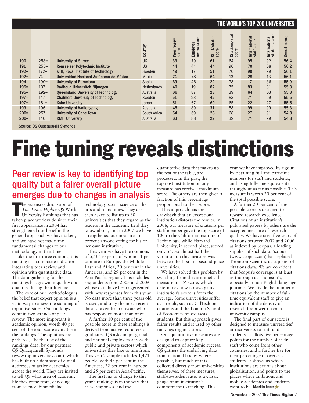|        |         |                                            | Country            | Peer review<br>score | score<br>Employer<br>review scc | Staff/student<br>score | Citations/staff<br>score | International<br>score<br>staff | score<br>International<br>students | score<br><b>Overall</b> |
|--------|---------|--------------------------------------------|--------------------|----------------------|---------------------------------|------------------------|--------------------------|---------------------------------|------------------------------------|-------------------------|
| 190    | $258=$  | <b>University of Surrey</b>                | <b>UK</b>          | 33                   | 79                              | 61                     | 64                       | 95                              | 92                                 | 56.4                    |
| 191    | $255=$  | <b>Rensselaer Polytechnic Institute</b>    | <b>US</b>          | 44                   | 44                              | 44                     | 90                       | 70                              | 58                                 | 56.2                    |
| $192=$ | $172 =$ | <b>KTH, Royal Institute of Technology</b>  | Sweden             | 49                   | 17                              | 51                     | 70                       | 90                              | 99                                 | 56.1                    |
| $192=$ | 74      | Universidad Nacional Autónoma de México    | <b>Mexico</b>      | 74                   | 78                              | 64                     | 13                       | 28                              | 13                                 | 56.1                    |
| 194    | $190=$  | <b>University of Barcelona</b>             | Spain              | 69                   | 46                              | 22                     | 78                       | 17                              | 36                                 | 55.9                    |
| $195=$ | 137     | Radboud Universiteit Nijmegen              | <b>Netherlands</b> | 40                   | 19                              | 82                     | 75                       | 83                              | 31                                 | 55.8                    |
| $195=$ | $192 =$ | <b>Queensland University of Technology</b> | Australia          | 66                   | 87                              | 28                     | 39                       | 64                              | 63                                 | 55.8                    |
| $197=$ | $147=$  | <b>Chalmers University of Technology</b>   | Sweden             | 51                   | 23                              | 42                     | 83                       | 74                              | 59                                 | 55.5                    |
| $197=$ | $181=$  | <b>Kobe University</b>                     | Japan              | 51                   | 67                              | 60                     | 65                       | 22                              | 27                                 | 55.5                    |
| 199    | 196     | <b>University of Wollongong</b>            | Australia          | 45                   | 89                              | 31                     | 58                       | 99                              | 99                                 | 55.3                    |
| $200=$ | 257     | <b>University of Cape Town</b>             | South Africa       | 54                   | 69                              | 28                     | 68                       | 27                              | 91                                 | 54.8                    |
| $200=$ | 146     | <b>RMIT University</b>                     | Australia          | 63                   | 88                              | 22                     | 32                       | 74                              | 99                                 | 54.8                    |
|        |         |                                            |                    |                      |                                 |                        |                          |                                 |                                    |                         |

Source: QS Quacquarelli Symonds

### **Fine tuning reveals distinctions**

### Peer review is key to identifying top quality but a fairer overall picture emerges due to changes in analysis

The extensive discussion of<br>
The Times Higher-QS World<br>
University Rankings that has<br>
taken place worldwide since their he extensive discussion of *The Times Higher-*QS World University Rankings that has first appearance in 2004 has strengthened our belief in the general approach we have taken, and we have not made any fundamental changes to our methodology in that time.

Like the first three editions, this ranking is a composite indicator integrating peer review and opinion with quantitative data. The data-gathering for the rankings has grown in quality and quantity during their lifetime.

The core of our methodology is the belief that expert opinion is a valid way to assess the standing of top universities. Our rankings contain two strands of peer review. The more important is academic opinion, worth 40 per cent of the total score available in the rankings. The opinions are gathered, like the rest of the rankings data, by our partners QS Quacquarelli Symonds (www.topuniversities.com), which has built up a database of e-mail addresses of active academics across the world. They are invited to tell QS what area of academic life they come from, choosing from science, biomedicine,

technology, social science or the arts and humanities. They are then asked to list up to 30 universities that they regard as the leaders in the academic field they know about, and in 2007 we have strengthened our measures to prevent anyone voting for his or her own institution.

This year we have the opinions of 5,101 experts, of whom 41 per cent are in Europe, the Middle East and Africa, 30 per cent in the Americas, and 29 per cent in the Asia-Pacific region. This includes respondents from 2005 and 2006 whose data have been aggregated with new responses from this year. No data more than three years old is used, and only the most recent data is taken from anyone who has responded more than once.

A further 10 per cent of the possible score in these rankings is derived from active recruiters of graduates. QS asks major global and national employers across the public and private sectors which universities they like to hire from. This year's sample includes 1,471 people, with 43 per cent in the Americas, 32 per cent in Europe and 25 per cent in Asia-Pacific.

The first major change to this year's rankings is in the way that these responses, and the

quantitative data that makes up the rest of the table, are processed. In the past, the topmost institution on any measure has received maximum score. The others are then given a fraction of this percentage proportional to their score.

This approach has the drawback that an exceptional institution distorts the results. In 2006, our measure of citations per staff member gave the top score of 100 to the California Institute of Technology, while Harvard University, in second place, scored only 55. So almost half the variation on this measure was between the first and second-place universities.

We have solved this problem by switching from this arithmetical measure to a Z-score, which determines how far away any institution's score is from the average. Some universities suffer as a result, such as CalTech on citations and the London School of Economics on overseas students. But this approach gives fairer results and is used by other rankings organisations.

Our quantitative measures are designed to capture key components of academic success. QS gathers the underlying data from national bodies where possible, but much of it is collected directly from universities themselves. of these measures, staff-to-student ratio is a classic gauge of an institution's commitment to teaching. This

year we have improved its rigour by obtaining full and part-time numbers for staff and students, and using full-time equivalents throughout as far as possible. This measure is worth 20 per cent of the total possible score.

A further 20 per cent of the possible score is designed to reward research excellence. Citations of an institution's published papers by others are the accepted measure of research quality. We have used five years of citations between 2002 and 2006 as indexed by Scopus, a leading supplier of such data. Scopus (www.scopus.com) has replaced Thomson Scientific as supplier of citations data. We are confident that Scopus's coverage is at least as thorough as Thomson's, especially in non-English language journals. We divide the number of citations by the number of fulltime equivalent staff to give an indication of the density of research firepower on each university campus.

The final part of our score is designed to measure universities' attractiveness to staff and students. It allots five percentage points for the number of their staff who come from other countries, and a further five for their percentage of overseas students. It shows us which institutions are serious about globalisation, and points to the places where ambitious and mobile academics and students want to be. **Martin Ince**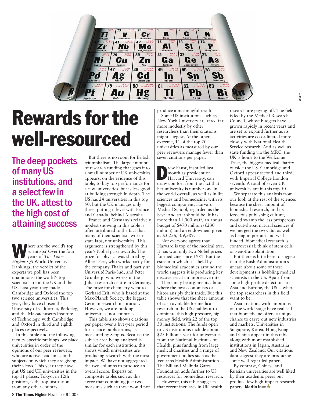

### **Rewards for the well-resourced**

The deep pockets of many US institutions, and a select few in the UK, attest to the high cost of attaining success

here are the world's top scientists? Over the four years of *The Times Higher*-QS World University Rankings, the verdict of the experts we poll has been unanimous: the world's top scientists are in the UK and the US. Last year, they made Cambridge and Oxford the top two science universities. This year, they have chosen the University of California, Berkeley, and the Massachusetts Institute of Technology, with Cambridge and Oxford in third and eighth places respectively.

In this table and the following faculty-specific rankings, we place universities in order of the opinions of our peer reviewers, who are active academics in the subjects on which they are giving their views. This year they have put US and UK universities in the top 11 places. Tokyo, in 12th position, is the top institution from any other country.

But there is no room for British triumphalism. The large amount of research funding that goes into a small number of UK universities appears, on the evidence of this table, to buy top performance for a few universities, but is less good at building strength in depth. The US has 24 universities in this top 50, but the UK manages only three, putting it level with France and Canada, behind Australia.

France and Germany's relatively modest showing in this table is often attributed to the fact that many of their scientists work in state labs, not universities. This argument is strengthened by this year's Nobel prize awards. The prize for physics was shared by Albert Fert, who works partly for the company Thales and partly at Université Paris-Sud, and Peter Grünberg, who works in the Jülich research centre in Germany. The prize for chemistry went to Gerhard Erlt, who is based at the Max-Planck Society, the biggest German research institution. However, we are ranking universities, not countries.

This table also shows citations per paper over a five-year period for science publications, as measured by Scopus. Because the subject area being analysed is similar for each institution, this shows which universities are producing research with the most impact. We have not aggregated the two columns to produce an overall score. Experts on composite tables such as this agree that combining just two measures such as these would not produce a meaningful result.

Some US institutions such as New York University are rated far more modestly by other researchers than their citations might suggest. At the other extreme, 11 of the top 20 universities as measured by our peer reviewers manage fewer than seven citations per paper.

rew Faust, installed last month as president of Harvard University, can draw comfort from the fact that her university is number one in the world overall, as well as in life sciences and biomedicine, with its biggest component, Harvard Medical School, regarded as the best. And so it should be. It has more than 11,000 staff, an annual budget of \$470 million  $(\text{\pounds}230)$ million) and an endowment given as \$3,256,509,589.

Not everyone agrees that Harvard is top of the medical tree. It has won only two Nobel prizes for medicine since 1981. But the esteem in which it is held by biomedical academics around the world suggests it is producing key discoveries at an impressive rate.

There may be arguments about where the best economists or historians ply their trade. But this table shows that the sheer amount of cash available for medical research in the US enables it to dominate this high-pressure, bigmoney field, with 22 of the top 50 institutions. The funds open to US institutions include about \$23 billion a year for universities from the National Institutes of Health, plus funding from large medical charities and a range of government bodies such as the Veterans Health Administration. The Bill and Melinda Gates Foundation adds further to US resources for biomedical research.

However, this table suggests that recent increases in UK health research are paying off. The field is led by the Medical Research Council, whose budgets have grown rapidly in recent years and are set to expand further as its activities are co-ordinated more closely with National Health Service research. And as well as state funding via the MRC, the UK is home to the Wellcome Trust, the biggest medical charity outside the US. Cambridge and Oxford appear second and third, with Imperial College London seventh. A total of seven UK universities are in this top 50.

Alamy

We separate this analysis from our look at the rest of the sciences because the sheer amount of biomedical research, and its ferocious publishing culture, would swamp the less prosperous and cut-throat natural sciences if we merged the two. But as well as being important and wellfunded, biomedical research is controversial: think of stem cells or xenotransplantation.

But there is little here to suggest that the Bush Administration's unease about some of these developments is hobbling medical scientists in the US. Apart from some high-profile defections to Asia and Europe, the US is where the top researchers in this field want to be.

Asian nations with ambitions on the world stage have realised that biomedicine offers a unique chance to carve out new industries and markets. Universities in Singapore, Korea, Hong Kong and China appear in this table along with more established institutions in Japan, Australia and New Zealand. Our citations data suggest they are producing some well-regarded papers.

By contrast, Chinese and Russian universities are well liked by their academic peers but produce few high-impact research papers. **Martin Ince**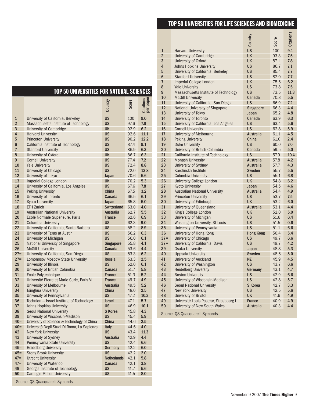#### **TOP50 UNIVERSITIES FOR LIFE SCIENCESAND BIOMEDICINE**

#### **TOP50 UNIVERSITIES FOR NATURAL SCIENCES**

|                |                                             | Country            | Score | Citations<br>per paper |  |  |  |  |
|----------------|---------------------------------------------|--------------------|-------|------------------------|--|--|--|--|
| 1              | University of California, Berkeley          | <b>US</b>          | 100   | 9.0                    |  |  |  |  |
| $\overline{2}$ | Massachusetts Institute of Technology       | <b>US</b>          | 97.6  | 7.8                    |  |  |  |  |
| 3              | University of Cambridge                     | <b>UK</b>          | 92.9  | 6.2                    |  |  |  |  |
| $\overline{4}$ | <b>Harvard University</b>                   | <b>US</b>          | 92.6  | 11.1                   |  |  |  |  |
| 5              | <b>Princeton University</b>                 | <b>US</b>          | 90.2  | 12.2                   |  |  |  |  |
| 6              | California Institute of Technology          | <b>US</b>          | 87.4  | 9.1                    |  |  |  |  |
| $\overline{7}$ | <b>Stanford University</b>                  | <b>US</b>          | 86.9  | 6.3                    |  |  |  |  |
| 8              | University of Oxford                        | <b>UK</b>          | 86.7  | 6.3                    |  |  |  |  |
| 9              | <b>Cornell University</b>                   | <b>US</b>          | 77.4  | 7.2                    |  |  |  |  |
| 10             | <b>Yale University</b>                      | <b>US</b>          | 72.4  | 8.8                    |  |  |  |  |
| 11             | University of Chicago                       | <b>US</b>          | 72.0  | 13.8                   |  |  |  |  |
| 12             | University of Tokyo                         | Japan              | 70.6  | 5.6                    |  |  |  |  |
| 13             | Imperial College London                     | UK                 | 70.2  | 5.3                    |  |  |  |  |
| 14             | University of California, Los Angeles       | US                 | 67.6  | 7.8                    |  |  |  |  |
| 15             | <b>Peking University</b>                    | <b>China</b>       | 67.5  | 3.2                    |  |  |  |  |
| 16             | University of Toronto                       | Canada             | 66.5  | 6.1                    |  |  |  |  |
| 17             | <b>Kyoto University</b>                     | Japan              | 65.8  | 5.0                    |  |  |  |  |
| 18             | <b>ETH Zurich</b>                           | <b>Switzerland</b> | 63.0  | 4.0                    |  |  |  |  |
| 19             | <b>Australian National University</b>       | <b>Australia</b>   | 62.7  | 5.5                    |  |  |  |  |
| 20             | Ecole Normale Supérieure, Paris             | <b>France</b>      | 62.6  | 6.9                    |  |  |  |  |
| 21             | <b>Columbia University</b>                  | <b>US</b>          | 62.3  | 9.0                    |  |  |  |  |
| 22             | University of California, Santa Barbara     | <b>US</b>          | 58.2  | 8.9                    |  |  |  |  |
| 23             | University of Texas at Austin               | <b>US</b>          | 56.2  | 6.3                    |  |  |  |  |
| 24             | University of Michigan                      | <b>US</b>          | 56.0  | 6.1                    |  |  |  |  |
| 25             | National University of Singapore            | <b>Singapore</b>   | 55.8  | 4.1                    |  |  |  |  |
| 26             | <b>McGill University</b>                    | <b>Canada</b>      | 53.6  | 4.4                    |  |  |  |  |
| $27 =$         | University of California, San Diego         | <b>US</b>          | 53.3  | 6.2                    |  |  |  |  |
| $27 =$         | Lomonosov Moscow State University           | <b>Russia</b>      | 53.3  | 2.5                    |  |  |  |  |
| 29             | University of Illinois                      | <b>US</b>          | 52.0  | 6.1                    |  |  |  |  |
| 30             | University of British Columbia              | Canada             | 51.7  | 5.8                    |  |  |  |  |
| 31             | Ecole Polytechnique                         | <b>France</b>      | 51.3  | 5.2                    |  |  |  |  |
| 32             | Université Pierre et Marie Curie, Paris VI  | <b>France</b>      | 49.7  | 4.9                    |  |  |  |  |
| 33             | <b>University of Melbourne</b>              | <b>Australia</b>   | 49.5  | 5.2                    |  |  |  |  |
| 34             | <b>Tsinghua University</b>                  | China              | 48.0  | 2.5                    |  |  |  |  |
| 35             | University of Pennsylvania                  | US                 | 47.2  | 10.3                   |  |  |  |  |
| 36             | Technion - Israel Institute of Technology   | <b>Israel</b>      | 47.1  | 5.7                    |  |  |  |  |
| 37             | <b>Johns Hopkins University</b>             | <b>US</b>          | 46.9  | 10.1                   |  |  |  |  |
| 38             | Seoul National University                   | S Korea            | 45.8  | 4.3                    |  |  |  |  |
| 39             | University of Wisconsin-Madison             | <b>US</b>          | 45.4  | 5.9                    |  |  |  |  |
| $40=$          | University of Science & Technology of China | China              | 44.6  | 2.5                    |  |  |  |  |
| $40=$          | Università Degli Studi Di Roma, La Sapienza | <b>Italy</b>       | 44.6  | 4.0                    |  |  |  |  |
| 42             | New York University                         | <b>US</b>          | 43.4  | 11.3                   |  |  |  |  |
| 43             | University of Sydney                        | <b>Australia</b>   | 42.9  | 4.4                    |  |  |  |  |
| 44             | Pennsylvania State University               | <b>US</b>          | 42.4  | 6.6                    |  |  |  |  |
| $45 =$         | <b>Heidelberg University</b>                | Germany            | 42.2  | 6.0                    |  |  |  |  |
| $45 =$         | <b>Stony Brook University</b>               | <b>US</b>          | 42.2  | 2.0                    |  |  |  |  |
| $47=$          | <b>Utrecht University</b>                   | <b>Netherlands</b> | 42.1  | 5.8                    |  |  |  |  |
| $47=$          | University of Waterloo                      | <b>Canada</b>      | 42.1  | 3.8                    |  |  |  |  |
| 49             | Georgia Institute of Technology             | <b>US</b>          | 41.7  | 5.6                    |  |  |  |  |
| 50             | <b>Carnegie Mellon University</b>           | <b>US</b>          | 41.5  | 8.0                    |  |  |  |  |
|                | Source: QS Quacquarelli Symonds.            |                    |       |                        |  |  |  |  |

|                     |                                                                      |                                   |              | <b>Citations</b> |  |  |  |  |
|---------------------|----------------------------------------------------------------------|-----------------------------------|--------------|------------------|--|--|--|--|
|                     |                                                                      | Country                           | Score        |                  |  |  |  |  |
|                     |                                                                      |                                   |              |                  |  |  |  |  |
| 1                   | <b>Harvard University</b>                                            | <b>US</b>                         | 100          | 9.1              |  |  |  |  |
| $\overline{2}$      | University of Cambridge                                              | <b>UK</b>                         | 93.3         | 7.5              |  |  |  |  |
| 3<br>$\overline{4}$ | University of Oxford                                                 | <b>UK</b>                         | 87.1         | 7.8              |  |  |  |  |
|                     | Johns Hopkins University                                             | <b>US</b>                         | 86.7         | 7.1              |  |  |  |  |
| 5                   | University of California, Berkeley                                   | <b>US</b>                         | 85.4         | 7.7<br>7.7       |  |  |  |  |
| 6<br>$\overline{7}$ | <b>Stanford University</b>                                           | <b>US</b><br><b>UK</b>            | 82.0<br>75.6 |                  |  |  |  |  |
| 8                   | Imperial College London                                              |                                   |              | 6.2<br>7.5       |  |  |  |  |
| 9                   | <b>Yale University</b><br>Massachusetts Institute of Technology      | <b>US</b><br><b>US</b>            | 73.8<br>73.5 | 11.3             |  |  |  |  |
| 10                  |                                                                      | Canada                            | 70.8         | 5.5              |  |  |  |  |
| 11                  | <b>McGill University</b><br>University of California, San Diego      | <b>US</b>                         | 66.9         | 7.2              |  |  |  |  |
| 12                  |                                                                      |                                   | 66.3         | 4.4              |  |  |  |  |
| 13                  | National University of Singapore                                     | <b>Singapore</b>                  | 65.2         | 4.8              |  |  |  |  |
| 14                  | University of Tokyo                                                  | Japan<br>Canada                   | 63.9         | 6.3              |  |  |  |  |
| 15                  | University of Toronto                                                | <b>US</b>                         | 63.4         | 5.6              |  |  |  |  |
| 16                  | University of California, Los Angeles<br><b>Cornell University</b>   | <b>US</b>                         | 62.8         | 5.9              |  |  |  |  |
| 17                  |                                                                      | <b>Australia</b>                  | 61.1         | 4.5              |  |  |  |  |
| 18                  | University of Melbourne                                              | China                             | 61.0         | 2.4              |  |  |  |  |
| 19                  | <b>Peking University</b>                                             | <b>US</b>                         | 60.0         | 7.0              |  |  |  |  |
|                     | <b>Duke University</b>                                               |                                   |              | 5.0              |  |  |  |  |
| 20<br>21            | University of British Columbia<br>California Institute of Technology | Canada<br><b>US</b>               | 59.5<br>57.9 | 10.4             |  |  |  |  |
| 22                  |                                                                      | <b>Australia</b>                  |              | 4.2              |  |  |  |  |
| 23                  | <b>Monash University</b>                                             |                                   | 57.8         | 4.3              |  |  |  |  |
| 24                  | University of Sydney<br>Karolinska Institute                         | <b>Australia</b><br><b>Sweden</b> | 57.7<br>55.7 | 5.5              |  |  |  |  |
| 25                  | Columbia University                                                  | <b>US</b>                         | 55.1         | 6.8              |  |  |  |  |
| 26                  |                                                                      | <b>UK</b>                         | 54.8         | 6.2              |  |  |  |  |
| 27                  | <b>University College London</b>                                     |                                   | 54.5         | 4.6              |  |  |  |  |
| 28                  | Kyoto University<br><b>Australian National University</b>            | Japan<br><b>Australia</b>         | 54.4         | 4.9              |  |  |  |  |
| 29                  | <b>Princeton University</b>                                          | <b>US</b>                         | 53.7         | 7.5              |  |  |  |  |
| 30                  | University of Edinburgh                                              | <b>UK</b>                         | 53.2         | 6.0              |  |  |  |  |
| 31                  | University of Queensland                                             | <b>Australia</b>                  | 53.1         | 4.4              |  |  |  |  |
| 32                  | King's College London                                                | <b>UK</b>                         | 52.0         | 5.0              |  |  |  |  |
| 33                  | University of Michigan                                               | <b>US</b>                         | 51.6         | 6.4              |  |  |  |  |
| 34                  | Washington University, St Louis                                      | <b>US</b>                         | 51.5         | 0.6              |  |  |  |  |
| 35                  | University of Pennsylvania                                           | <b>US</b>                         | 51.1         | 6.6              |  |  |  |  |
| 36                  | University of Hong Kong                                              | <b>Hong Kong</b>                  | 50.4         | 5.4              |  |  |  |  |
| $37 =$              | University of Chicago                                                | <b>US</b>                         | 49.7         | 6.6              |  |  |  |  |
| $37=$               | University of California, Davis                                      | <b>US</b>                         | 49.7         | 4.2              |  |  |  |  |
| 39                  | <b>Osaka University</b>                                              | Japan                             | 48.8         | 5.3              |  |  |  |  |
| 40                  | <b>Uppsala University</b>                                            | <b>Sweden</b>                     | 48.6         | 5.0              |  |  |  |  |
| 41                  | University of Auckland                                               | <b>NZ</b>                         | 45.9         | 4.5              |  |  |  |  |
| 42                  | University of Washington                                             | <b>US</b>                         | 43.7         | 6.6              |  |  |  |  |
| 43                  | <b>Heidelberg University</b>                                         | Germany                           | 43.1         | 4.7              |  |  |  |  |
| 44                  | <b>Boston University</b>                                             | <b>US</b>                         | 42.9         | 6.6              |  |  |  |  |
| 45                  | University of Wisconsin-Madison                                      | <b>US</b>                         | 42.8         | 5.7              |  |  |  |  |
| 46                  | <b>Seoul National University</b>                                     | <b>S</b> Korea                    | 42.7         | 3.3              |  |  |  |  |
| 47                  | New York University                                                  | <b>US</b>                         | 42.5         | 5.6              |  |  |  |  |
| 48                  | University of Bristol                                                | <b>UK</b>                         | 41.6         | 4.9              |  |  |  |  |
| 49                  | Université Louis Pasteur, Strasbourg I                               | <b>France</b>                     | 40.9         | 4.9              |  |  |  |  |
| 50                  | University of New South Wales                                        | <b>Australia</b>                  | 40.3         | 4.4              |  |  |  |  |
|                     | Source: QS Quacquarelli Symonds.                                     |                                   |              |                  |  |  |  |  |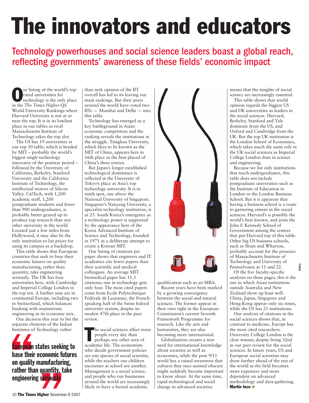# **The innovators and educators**

Technology powerhouses and social science leaders boast a global reach, reflecting governments' awareness of these fields' economic impact

**O**ur listing of the world's top-<br>
rated universities for<br>
technology is the only place<br>
in the The Time Higher OS rated universities for in the *The Times Higher-*QS World University Rankings where Harvard University is not at or near the top. It is in its lowliest place in our tables as rival Massachusetts Institute of Technology takes the top slot.

The US has 19 universities in our top 50 table, which is headed by MIT – probably the world's biggest single technology innovator of the postwar period – followed by the University of California, Berkeley, Stanford University and the California Institute of Technology, the intellectual motors of Silicon Valley. CalTech, with 1,200 academic staff, 1,200 postgraduate students and fewer than 900 undergraduates, is probably better geared up to produce top research than any other university in the world. Located just a few miles from Hollywood, it may also be the only institution to list prices for using its campus as a backdrop.

This table shows that European countries that seek to base their economic futures on quality manufacturing, rather than quantity, take engineering seriously. The UK has four universities here, with Cambridge and Imperial College London in the top ten. A further nine are in continental Europe, including two in Switzerland, which balances banking with mainstream engineering in its economic mix.

Our decision this year to list the separate elements of the Indian Institutes of Technology rather

Our decis<br>
separate eles<br>
Institutes of<br> **European**<br> **base their<br>
on quality<br>
rather tha CONSTRUCTER CONSTRUCTER**<br> **on quality manufacturing,**<br> **rather than quantity, take**<br> **engineering seriously**<br> **10 The Times Higher November 9 European states seeking to base their economic futures rather than quantity, take engineering seriously**

than seek opinion of the IIT overall has led to its leaving our main rankings. But their peers around the world have voted two IITs — Mumbai and Delhi — into this table.

Technology has emerged as a key battleground in Asian economic competition and the ranking reveals the institutions in the struggle. Tsinghua University, which likes to be known as the MIT of China, appears here in 16th place as the best placed of China's three entries.

But Japan's longer established technological dominance is reflected in the University of Tokyo's place as Asia's top technology university. It is in ninth spot, one above the National University of Singapore. Singapore's Nanyang University, a specialist technology institution, is at 25. South Korea's emergence as a technology power is supported by the appearance here of the Korea Advanced Institute of Science and Technology, founded in 1971 in a deliberate attempt to create a Korean MIT.

Our listing of citations per paper shows that engineers and IT academics cite fewer papers than their scientific and medical colleagues. An average MIT biomedical paper has 11.3 citations; one in technology gets only four. The most cited papers come from Ecole Polytechnique Fédérale de Lausanne, the Frenchspeaking half of the Swiss federal university system, despite its modest 47th place in the peer review.

The social sciences affect r<br>
people every day than<br>
perhaps any other area o<br>
academic life. The economists he social sciences affect more people every day than perhaps any other area of who decide government policies are one species of social scientist, while the teachers our children encounter at school are another. Management is a social science, and people who run businesses around the world are increasingly likely to have a formal academic



qualification such as an MBA. Recent years have been marked by a growing convergence between the social and natural sciences. The former appear in their own right in the European Commission's current Seventh Framework Programme for research. Like the arts and humanities, they are also becoming more international.

Globalisation creates a new need for international knowledge about societies as well as economies, while the post 9/11 world has a raised awareness that cultures that once seemed obscure might suddenly become important to know about. At the same time, rapid technological and social change in advanced societies

means that the insights of social science are increasingly essential. This table shows that world

opinion regards the biggest US and UK universities as leaders in the social sciences. Harvard, Berkeley, Stanford and Yale dominate from the US, and Oxford and Cambridge from the UK. But the top UK institution is the London School of Economics, which takes much the same role in the UK social sciences as Imperial College London does in science and engineering.

Because we list only institutions that teach undergraduates, this table does not include postgraduate universities such as the Institute of Education in London or the London Business School. But it is apparent that having a business school is a route to garnering esteem in the social sciences. Harvard's is possibly the world's best known, and joins the John F. Kennedy School of Government among the centres that put Harvard top of this table. Other big US business schools, such as Sloan and Wharton, probably account for the presence of Massachusetts Institute of Technology and University of Pennsylvania at 11 and 22.

Of the five faculty-specific analyses on these pages, this is the one in which Asian institutions outside Australia and New Zealand show up least well. China, Japan, Singapore and Hong Kong appear only six times, while the US has 21 institutions.

Alamy

Our analysis of citations in the social sciences shows that, in contrast to medicine, Europe has the most cited researchers. University College London is the clear winner, despite being 32nd in our peer review for the social sciences. In future years, US and European social scientists may draw further ahead of the rest of the world as the field becomes more expensive and more dependent on advanced methodology and data-gathering. **Martin Ince**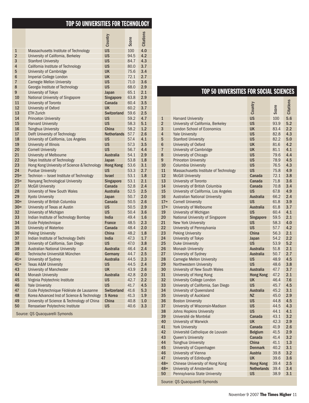#### **TOP50 UNIVERSITIES FOR TECHNOLOGY**

|                |                                                    | Country                 | Score        | <b>Citations</b> |
|----------------|----------------------------------------------------|-------------------------|--------------|------------------|
| $\mathbf{1}$   | Massachusetts Institute of Technology              | <b>US</b>               | 100          | 4.0              |
| $\overline{2}$ | University of California, Berkeley                 | <b>US</b>               | 94.5         | 4.2              |
| 3              | <b>Stanford University</b>                         | <b>US</b>               | 84.7         | 4.3              |
| 4              | California Institute of Technology                 | <b>US</b>               | 80.0         | 3.7              |
| 5              | University of Cambridge                            | <b>UK</b>               | 75.6         | 3.4              |
| 6              | <b>Imperial College London</b>                     | <b>UK</b>               | 72.1         | 2.7              |
| $\overline{7}$ | <b>Carnegie Mellon University</b>                  | <b>US</b>               | 71.0         | 3.6              |
| 8              | Georgia Institute of Technology                    | <b>US</b>               | 68.0         | 2.9              |
| 9              | University of Tokyo                                | Japan                   | 65.1         | 2.1              |
| 10             | National University of Singapore                   | <b>Singapore</b>        | 63.8         | 2.9              |
| 11             | University of Toronto                              | Canada                  | 60.4         | 3.5              |
| 12             | University of Oxford                               | UK                      | 60.2         | 3.7              |
| 13             | <b>ETH Zurich</b>                                  | Switzerland             | 59.6         | 2.5              |
| 14             | <b>Princeton University</b>                        | <b>US</b>               | 59.2         | 4.7              |
| 15             | <b>Harvard University</b>                          | <b>US</b>               | 58.3         | 5.1              |
| 16             | Tsinghua University                                | <b>China</b>            | 58.2         | 1.2              |
| 17             | Delft University of Technology                     | <b>Netherlands</b>      | 57.7         | 2.6              |
| 18             | University of California, Los Angeles              | <b>US</b>               | 57.4         | 4.1              |
| 19             | University of Illinois                             | <b>US</b>               | 57.3         | 3.5              |
| 20             | <b>Cornell University</b>                          | <b>US</b>               | 56.7         | 4.4              |
| 21             | University of Melbourne                            | <b>Australia</b>        | 54.1         | 2.9              |
| 22             | Tokyo Institute of Technology                      | Japan                   | 53.8         | 1.8              |
| 23             | Hong Kong University of Science & Technology       | <b>Hong Kong</b>        | 53.6         | 3.1              |
| 24             | <b>Purdue University</b>                           | US                      | 53.3         | 2.7              |
| $25 =$         | Technion - Israel Institute of Technology          | <b>Israel</b>           | 53.1         | 1.8              |
| $25=$          | Nanyang Technological University                   | <b>Singapore</b>        | 53.1         | 2.1              |
| 27             | <b>McGill University</b>                           | Canada                  | 52.8         | 2.4              |
| 28             | University of New South Wales                      | <b>Australia</b>        | 52.5         | 2.5              |
| 29             | <b>Kyoto University</b>                            | Japan                   | 50.7         | 2.0              |
| $30=$          | University of British Columbia                     | Canada                  | 50.5         | 2.6              |
| $30=$          | University of Texas at Austin                      | <b>US</b>               | 50.5         | 2.9              |
| 32             | University of Michigan                             | <b>US</b>               | 50.4         | 3.6              |
| 33             | Indian Institute of Technology Bombay              | <b>India</b>            | 49.4         | 1.6              |
| 34             | Ecole Polytechnique                                | <b>France</b><br>Canada | 48.5         | 2.3              |
| 35<br>36       | University of Waterloo<br><b>Peking University</b> | China                   | 48.4<br>48.2 | 2.0<br>1.8       |
| 37             | Indian Institute of Technology Delhi               | <b>India</b>            | 47.3         | 1.7              |
| 38             | University of California, San Diego                | <b>US</b>               | 47.0         | 3.8              |
| 39             | <b>Australian National University</b>              | <b>Australia</b>        | 46.4         | 2.4              |
| 40             | Technische Universität München                     | Germany                 | 44.7         | 2.5              |
| $41 =$         | University of Sydney                               | <b>Australia</b>        | 44.5         | 2.3              |
| $41 =$         | <b>Texas A&amp;M University</b>                    | <b>US</b>               | 44.5         | 2.4              |
| 43             | University of Manchester                           | <b>UK</b>               | 43.9         | 2.6              |
| 44             | <b>Monash University</b>                           | <b>Australia</b>        | 42.8         | 2.0              |
| 45             | Virginia Polytechnic Institute                     | <b>US</b>               | 42.7         | 2.2              |
| 46             | <b>Yale University</b>                             | <b>US</b>               | 41.7         | 4.5              |
| 47             | Ecole Polytechnique Fédérale de Lausanne           | <b>Switzerland</b>      | 41.6         | 5.3              |
| 48             | Korea Advanced Inst of Science & Technology        | <b>S</b> Korea          | 41.3         | 1.9              |
| 49             | University of Science & Technology of China        | China                   | 40.8         | 1.0              |
| 50             | Rensselaer Polytechnic Institute                   | US                      | 40.6         | 3.3              |
|                |                                                    |                         |              |                  |

Source: QS Quacquarelli Symonds

#### **TOP50 UNIVERSITIES FOR SOCIAL SCIENCES**

|                |                                       | Country            | Score | <b>Citations</b> |
|----------------|---------------------------------------|--------------------|-------|------------------|
| $\mathbf{1}$   | <b>Harvard University</b>             | <b>US</b>          | 100   | 5.6              |
| $\overline{2}$ | University of California, Berkeley    | <b>US</b>          | 93.9  | 5.2              |
| 3              | <b>London School of Economics</b>     | <b>UK</b>          | 83.4  | 2.2              |
| $\overline{4}$ | <b>Yale University</b>                | <b>US</b>          | 82.8  | 4.3              |
| 5              | <b>Stanford University</b>            | <b>US</b>          | 82.2  | 5.0              |
| 6              | University of Oxford                  | <b>UK</b>          | 81.6  | 4.2              |
| $\overline{7}$ | University of Cambridge               | <b>UK</b>          | 81.1  | 4.1              |
| 8              | University of Chicago                 | <b>US</b>          | 79.6  | 4.4              |
| 9              | <b>Princeton University</b>           | <b>US</b>          | 78.9  | 4.5              |
| 10             | Columbia University                   | <b>US</b>          | 76.5  | 4.3              |
| 11             | Massachusetts Institute of Technology | <b>US</b>          | 75.8  | 4.9              |
| 12             | <b>McGill University</b>              | Canada             | 72.1  | 3.8              |
| 13             | University of Toronto                 | Canada             | 71.8  | 3.6              |
| 14             | University of British Columbia        | Canada             | 70.8  | 3.4              |
| 15             | University of California, Los Angeles | <b>US</b>          | 67.8  | 4.9              |
| 16             | <b>Australian National University</b> | <b>Australia</b>   | 66.2  | 2.4              |
| $17=$          | <b>Cornell University</b>             | <b>US</b>          | 61.8  | 3.9              |
| $17 =$         | University of Melbourne               | <b>Australia</b>   | 61.8  | 3.7              |
| 19             | University of Michigan                | <b>US</b>          | 60.4  | 4.1              |
| 20             | National University of Singapore      | <b>Singapore</b>   | 59.5  | 2.1              |
| 21             | New York University                   | <b>US</b>          | 58.3  | 4.0              |
| 22             | University of Pennsylvania            | <b>US</b>          | 57.7  | 4.2              |
| 23             | <b>Peking University</b>              | <b>China</b>       | 56.3  | 2.1              |
| 24             | University of Tokyo                   | Japan              | 54.2  | 2.2              |
| 25             | <b>Duke University</b>                | <b>US</b>          | 53.9  | 5.2              |
| 26             | <b>Monash University</b>              | <b>Australia</b>   | 51.8  | 2.1              |
| 27             | University of Sydney                  | <b>Australia</b>   | 50.7  | 2.7              |
| 28             | <b>Carnegie Mellon University</b>     | <b>US</b>          | 48.9  | 4.5              |
| 29             | Northwestern University               | <b>US</b>          | 48.6  | 3.8              |
| 30             | University of New South Wales         | <b>Australia</b>   | 47.7  | 3.7              |
| 31             | University of Hong Kong               | <b>Hong Kong</b>   | 47.2  | 2.1              |
| 32             | <b>University College London</b>      | <b>UK</b>          | 46.4  | 7.6              |
| 33             | University of California, San Diego   | <b>US</b>          | 45.7  | 4.5              |
| 34             | University of Queensland              | <b>Australia</b>   | 45.2  | 3.1              |
| 35             | University of Auckland                | <b>NZ</b>          | 45.0  | 2.9              |
| 36             | <b>Boston University</b>              | <b>US</b>          | 44.8  | 4.5              |
| 37             | University of Wisconsin-Madison       | <b>US</b>          | 44.5  | 4.3              |
| 38             | Johns Hopkins University              | <b>US</b>          | 44.1  | 4.1              |
| 39             | Université de Montréal                | Canada             | 43.1  | 3.2              |
| 40             | University of Warwick                 | <b>UK</b>          | 42.3  | 2.9              |
| 41             | <b>York University</b>                | Canada             | 41.9  | 2.6              |
| 42             | Université Catholique de Louvain      | <b>Belgium</b>     | 41.5  | 2.9              |
| 43             | Queen's University                    | Canada             | 41.4  | 3.2              |
| 44             | Tsinghua University                   | <b>China</b>       | 41.1  | 1.3              |
| 45             | University of Copenhagen              | <b>Denmark</b>     | 40.2  | 3.1              |
| 46             | University of Vienna                  | <b>Austria</b>     | 39.8  | 3.2              |
| 47             | University of Edinburgh               | <b>UK</b>          | 39.6  | 3.6              |
| $48 =$         | Chinese University of Hong Kong       | <b>Hong Kong</b>   | 39.4  | 2.5              |
| $48 =$         | University of Amsterdam               | <b>Netherlands</b> | 39.4  | 3.4              |
| 50             | Pennsylvania State University         | <b>US</b>          | 38.9  | 3.1              |
|                | Courage: OC Quagquarelli Cumando      |                    |       |                  |

Source: QS Quacquarelli Symonds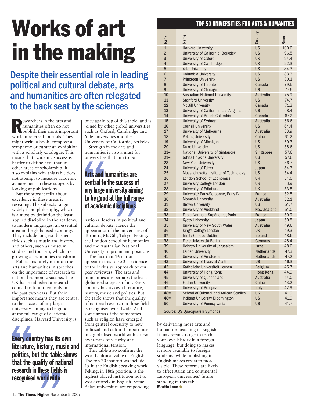## **Works of art in the making**

### Despite their essential role in leading political and cultural debate, arts and humanities are often relegated to the back seat by the sciences

**R**esearchers in the arts and humanities often do not publish their most important work in refereed journals. They might write a book, compose a symphony or curate an exhibition with a scholarly catalogue. This means that academic success is harder to define here than in other areas of scholarship. It also explains why this table does not attempt to measure academic achievement in these subjects by looking at publications.

But the story it tells about excellence in these areas is revealing. The subjects range widely from philosophy, which is almost by definition the least applied discipline in the academy, to modern languages, an essential area in the globalised economy. They include long-established fields such as music and history, and others, such as museum studies and tourism, which are growing as economies transform.

Politicians rarely mention the arts and humanities in speeches on the importance of research to national economic success. The UK has established a research council to fund them only in the past two years. But their importance means they are central to the success of any large university aiming to be good at the full range of academic disciplines. Harvard University is

at the full radisciplines.<br>
disciplines.<br> **Every coulliterature**,<br> **politics, b**<br> **that the q Example 12**<br> **Example 12**<br> **CONSIGNATION**<br> **SUPPER 124**<br> **Example 124**<br> **Example 124**<br> **Example 124**<br> **Example 124 Every country has its own literature, history, music and politics, but the table shows that the quality of national** research in these fields is **recognised worldwide**

once again top of this table, and is joined by other global universities such as Oxford, Cambridge and Yale universities and the University of California, Berkeley.

Strength in the arts and humanities is also a must for universities that aim to be

### **Strength i**<br> **humanities**<br> **universities**<br> **Arts and h**<br> **central to**<br> **any large u**<br> **to be good any large university aiming**<br> **to be good at the full range<br>
of academic disciplines**<br>
national leaders in political an<br>
cultural debate. Hence the<br>
appearance of the universities<br>
Toronto, McGill, Tokyo, Pekin **Arts and humanities are central to the success of tobegoodat thefull range of academic disciplines**

national leaders in political and cultural debate. Hence the appearance of the universities of Toronto, McGill, Tokyo, Peking, the London School of Economics and the Australian National University in prominent positions.

The fact that 16 nations appear in this top 50 is evidence of the inclusive approach of our peer reviewers. The arts and humanities are perhaps the least globalised subjects of all. Every country has its own literature, history, music and politics. But the table shows that the quality of national research in these fields is recognised worldwide. And some areas of the humanities such as religion have emerged from genteel obscurity to new political and cultural importance in a globalised world with a new awareness of security and international tension.

This table also confirms the world cultural value of English. The top 20 institutions include 19 in the English-speaking world. Peking, in 18th position, is the highest placed institution not to work entirely in English. Some Asian universities are responding

#### **TOP50 UNIVERSITIES FOR ARTS & HUMANITIES**

| Rank            | Name                                   | Country            | Score |
|-----------------|----------------------------------------|--------------------|-------|
| $\mathbf{1}$    | <b>Harvard University</b>              | <b>US</b>          | 100.0 |
| $\overline{2}$  | University of California, Berkeley     | <b>US</b>          | 96.5  |
| 3               | University of Oxford                   | <b>UK</b>          | 94.4  |
| $\overline{4}$  | <b>University of Cambridge</b>         | UK                 | 92.3  |
| 5               | <b>Yale University</b>                 | <b>US</b>          | 84.3  |
| $6\phantom{1}6$ | <b>Columbia University</b>             | <b>US</b>          | 83.3  |
| $\overline{7}$  | <b>Princeton University</b>            | <b>US</b>          | 80.1  |
| 8               | University of Toronto                  | Canada             | 79.5  |
| 9               | University of Chicago                  | <b>US</b>          | 77.6  |
| 10              | <b>Australian National University</b>  | <b>Australia</b>   | 75.9  |
| 11              | <b>Stanford University</b>             | <b>US</b>          | 74.7  |
| 12              | <b>McGill University</b>               | Canada             | 71.3  |
| 13              | University of California, Los Angeles  | <b>US</b>          | 68.4  |
| 14              | University of British Columbia         | Canada             | 67.2  |
| 15              | University of Sydney                   | <b>Australia</b>   | 66.6  |
| 16              | <b>Cornell University</b>              | <b>US</b>          | 64.4  |
| 17              | University of Melbourne                | <b>Australia</b>   | 63.9  |
| 18              | <b>Peking University</b>               | China              | 61.2  |
| 19              | University of Michigan                 | <b>US</b>          | 60.3  |
| 20              | <b>Duke University</b>                 | <b>US</b>          | 58.6  |
| $21=$           | National University of Singapore       | <b>Singapore</b>   | 57.6  |
| $21 =$          | Johns Hopkins University               | <b>US</b>          | 57.6  |
| 23              | <b>New York University</b>             | <b>US</b>          | 56.7  |
| 24              | University of Tokyo                    | <b>Japan</b>       | 54.7  |
| 25              | Massachusetts Institute of Technology  | <b>US</b>          | 54.4  |
| 26              | <b>London School of Economics</b>      | <b>UK</b>          | 54.0  |
| 27              | <b>University College London</b>       | <b>UK</b>          | 53.9  |
| 28              | University of Edinburgh                | <b>UK</b>          | 53.5  |
| 29              | Université Paris-Sorbonne, Paris IV    | <b>France</b>      | 52.5  |
| 30              | <b>Monash University</b>               | <b>Australia</b>   | 52.1  |
| 31              | <b>Brown University</b>                | <b>US</b>          | 51.7  |
| 32              | University of Auckland                 | <b>New Zealand</b> | 51.0  |
| 33              | Ecole Normale Supérieure, Paris        | <b>France</b>      | 50.9  |
| 34              | <b>Kyoto University</b>                | Japan              | 50.5  |
| 35              | University of New South Wales          | <b>Australia</b>   | 49.6  |
| 36              | King's College London                  | UK                 | 49.3  |
| 37              | <b>Trinity College Dublin</b>          | <b>Ireland</b>     | 48.6  |
| 38              | Freie Universität Berlin               | Germany            | 48.4  |
| 39              | Hebrew University of Jerusalem         | <b>Israel</b>      | 48.0  |
| 40              | Leiden University                      | <b>Netherlands</b> | 47.3  |
| 41              | University of Amsterdam                | <b>Netherlands</b> | 47.2  |
| 42              | University of Texas at Austin          | <b>US</b>          | 46.3  |
| 43              | Katholieke Universiteit Leuven         | <b>Belgium</b>     | 45.7  |
| 44              | University of Hong Kong                | <b>Hong Kong</b>   | 44.9  |
| 45              | University of Queensland               | <b>Australia</b>   | 44.0  |
| 46              | <b>Fudan University</b>                | China              | 43.2  |
| 47              | University of Bologna                  | <b>Italy</b>       | 42.9  |
| $48 =$          | School of Oriental and African Studies | <b>UK</b>          | 41.9  |
| $48 =$          | Indiana University Bloomington         | <b>US</b>          | 41.9  |
| 50              | University of Pennsylvania             | <b>US</b>          | 41.7  |

Source: QS Quacquarelli Symonds.

by delivering more arts and humanities teaching in English. It may seem strange to teach your own history in a foreign language, but doing so makes it more available to foreign students, while publishing in English makes research more visible. These reforms are likely to affect Asian and continental European universities' future standing in this table. **Martin Ince**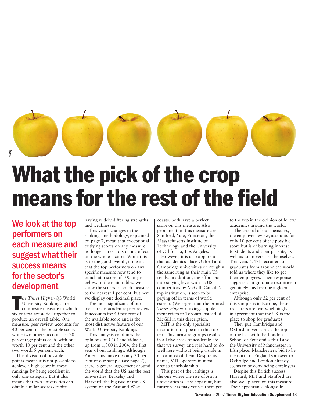

### **What the pick of the crop means for the rest of the field**

We look at the top performers on each measure and suggest what their success means for the sector's development

**The Times Higher-QS World**<br>
University Rankings are a<br>
composite measure in whicl<br>
six criteria are added together to *he Times Higher*-QS World University Rankings are a composite measure in which produce an overall table. One measure, peer review, accounts for 40 per cent of the possible score, while two others account for 20 percentage points each, with one worth 10 per cent and the other two worth 5 per cent each.

This division of possible points means it is not possible to achieve a high score in these rankings by being excellent in only one category. But it also means that two universities can obtain similar scores despite

having widely differing strengths and weaknesses.

This year's changes in the rankings methodology, explained on page 7, mean that exceptional outlying scores on any measure no longer have a distorting effect on the whole picture. While this is to the good overall, it means that the top performers on any specific measure now tend to bunch at a score of 100 or just below. In the main tables, we show the scores for each measure to the nearest 1 per cent, but here we display one decimal place.

The most significant of our measures is academic peer review. It accounts for 40 per cent of the available score and is the most distinctive feature of our World University Rankings.

This analysis combines the opinions of 5,101 individuals, up from 1,300 in 2004, the first year of our rankings. Although Americans make up only 30 per cent of our sample (see page 7), there is general agreement around the world that the US has the best universities. Berkeley and Harvard, the big two of the US system on the East and West

coasts, both have a perfect score on this measure. Also prominent on this measure are Stanford, Yale, Princeton, the Massachusetts Institute of Technology and the University of California, Los Angeles.

However, it is also apparent that academics place Oxford and Cambridge universities on roughly the same rung as their main US rivals. In addition, the effort put into staying level with its US competitors by McGill, Canada's top institution, is seen to be paying off in terms of world esteem. (We regret that the printed *Times Higher* rankings supplement refers to Toronto instead of McGill in this description.)

MIT is the only specialist institution to appear in this top ten. This measure groups results in all five areas of academic life that we survey and it is hard to do well here without being visible in all or most of them. Despite its name, MIT operates in most arenas of scholarship.

This part of the rankings is the one where the rise of Asian universities is least apparent, but future years may yet see them get to the top in the opinion of fellow academics around the world.

The second of our measures, the employer review, accounts for only 10 per cent of the possible score but is of burning interest to students and their parents, as well as to universities themselves. This year, 1,471 recruiters of graduates from around the world told us where they like to get their employees. Their response suggests that graduate recruitment genuinely has become a global enterprise.

Although only 32 per cent of this sample is in Europe, these recruiters are overwhelmingly in agreement that the UK is the place to shop for graduates.

They put Cambridge and Oxford universities at the top of the list, with the London School of Economics third and the University of Manchester in fifth place. Manchester's bid to be the north of England's answer to Oxbridge and London already seems to be convincing employers.

Despite this British success, Harvard, MIT and Stanford are also well placed on this measure. Their appearance alongside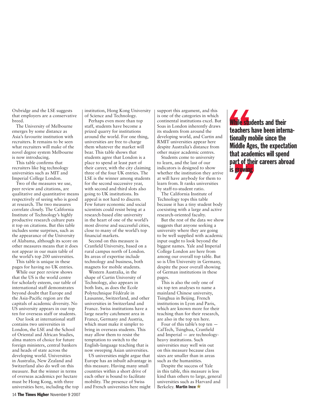Oxbridge and the LSE suggests that employers are a conservative breed.

The University of Melbourne emerges by some distance as Asia's favourite institution with recruiters. It remains to be seen what recruiters will make of the novel degree system Melbourne is now introducing.

This table confirms that recruiters like big technology universities such as MIT and Imperial College London.

Two of the measures we use, peer review and citations, are qualitative and quantitative means respectively of seeing who is good at research. The two measures correlate closely. The California Institute of Technology's highly productive research culture puts it top on citations. But this table includes some surprises, such as the appearance of the University of Alabama, although its score on other measures means that it does not appear in our main table of the world's top 200 universities.

This table is unique in these pages for having no UK entries.

While our peer review shows that the US is the world centre for scholarly esteem, our table of international staff demonstrates beyond doubt that Europe and the Asia-Pacific region are the capitals of academic diversity. No US university appears in our top ten for overseas staff or students.

Our look at international staff contains two universities in London, the LSE and the School of Oriental and African Studies, alma maters of choice for future foreign ministers, central bankers and heads of state across the developing world. Universities in Australia, New Zealand and Switzerland also do well on this measure. But the winner in terms of overseas academics per hectare must be Hong Kong, with three universities here, including the top institution, Hong Kong University of Science and Technology.

Perhaps even more than top staff, students have become a prized quarry for institutions around the world. For one thing, universities are free to charge them whatever the market will bear. This table shows that students agree that London is a place to spend at least part of their career, with the city claiming three of the four UK entries. The LSE is the winner among students for the second successive year, with second and third slots also going to UK institutions. Its appeal is not hard to discern. Few future economic and social scientists could resist being at a research-based elite university in the heart of one of the world's most diverse and successful cities, close to many of the world's top financial markets.

Second on this measure is Cranfield University, based on a rural campus north of London. Its areas of expertise include technology and business, both magnets for mobile students.

Western Australia, in the shape of Curtin University of Technology, also appears in both lists, as does the Ecole Polytechnique Fédérale in Lausanne, Switzerland, and other universities in Switzerland and France. Swiss institutions have a large nearby catchment area in France, Germany and Austria, which must make it simpler to bring in overseas students. This may allow them to resist the temptation to switch to the English-language teaching that is now sweeping Asian universities.

US universities might argue that Europe has an inbuilt advantage in this measure. Having many small countries within a short drive of each other is bound to facilitate mobility. The presence of Swiss and French universities here might

support this argument, and this is one of the categories in which continental institutions excel. But Soas in London inherently draws its students from around the developing world, and Curtin and RMIT universities appear here despite Australia's distance from other major academic centres.

Students come to university to learn, and the last of our indicators is designed to show whether the institution they arrive at will have anybody for them to learn from. It ranks universities by staff-to-student ratio.

The California Institute of Technology tops this table because it has a tiny student body coexisting with a large and active research-oriented faculty.

But the rest of the data we show suggests that anyone seeking a university where they are going to be well supplied with academic input ought to look beyond the biggest names. Yale and Imperial College London are here from among our overall top table. But so is Ulm University in Germany, despite the poor overall showing of German institutions in these pages.

This is also the only one of six top ten analyses to name a mainland Chinese university, Tsinghua in Beijing. French institutions in Lyon and Paris, which are known more for their teaching than for their research, are also in the top ten here.

Four of this table's top ten — CalTech, Tsinghua, Cranfield and Imperial — are technologyheavy institutions. Such universities may well win out on this measure because class sizes are smaller than in areas such as the humanities.

Despite the success of Yale in this table, this measure is less kind than others to large, general universities such as Harvard and Berkeley. **Martin Ince**

**This students and their<br>
teachers have been interna-<br>
tionally mobile since the<br>
Middle Ages, the expectation That's right**<br>
that academ<br>
bart of their<br>
s growing **While students and their teachers have been internationally mobile since the that academics will spend part of their careers abroad is growing**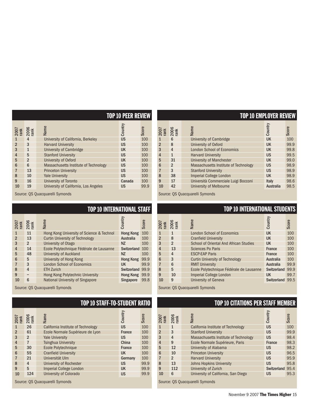| $\begin{array}{c}\n 2007 \\  \hline\n 12006 \\  \hline\n 2006 \\  \hline\n 1200\n \end{array}$ |                | Name                                  | Country   | Score |
|------------------------------------------------------------------------------------------------|----------------|---------------------------------------|-----------|-------|
| $\mathbf{1}$                                                                                   | 4              | University of California, Berkeley    | <b>US</b> | 100   |
| $\overline{2}$                                                                                 | 3              | <b>Harvard University</b>             | <b>US</b> | 100   |
| 3                                                                                              | $\mathbf{1}$   | University of Cambridge               | <b>UK</b> | 100   |
| 4                                                                                              | 5              | <b>Stanford University</b>            | <b>US</b> | 100   |
| 5                                                                                              | $\overline{2}$ | University of Oxford                  | <b>UK</b> | 100   |
| $6\phantom{1}6$                                                                                | 6              | Massachusetts Institute of Technology | <b>US</b> | 100   |
|                                                                                                | 13             | <b>Princeton University</b>           | <b>US</b> | 100   |
| 8                                                                                              | 10             | <b>Yale University</b>                | <b>US</b> | 100   |
| 9                                                                                              | 16             | University of Toronto                 | Canada    | 100   |
| 10                                                                                             | 19             | University of California, Los Angeles | US        | 99.9  |

Source: QS Quacquarelli Symonds Source: QS Quacquarelli Symonds

|  | TOP 10 INTERNATIONAL STAFI |  |
|--|----------------------------|--|
|  |                            |  |

| 2007           | 2006 | Name                                      | Country            | Score |
|----------------|------|-------------------------------------------|--------------------|-------|
| 1              | 11   | Hong Kong University of Science & Technol | <b>Hong Kong</b>   | 100   |
| $\overline{2}$ | 13   | <b>Curtin University of Technology</b>    | <b>Australia</b>   | 100   |
| 3              | 2    | University of Otago                       | <b>NZ</b>          | 100   |
| $\overline{4}$ | 14   | Ecole Polytechnique Fédérale de Lausanne  | <b>Switzerland</b> | 100   |
| 5              | 48   | University of Auckland                    | <b>NZ</b>          | 100   |
| 6              | 5    | University of Hong Kong                   | <b>Hong Kong</b>   | 99.9  |
| 7              | 3    | <b>London School of Economics</b>         | UK                 | 99.9  |
| 8              | 4    | <b>ETH Zurich</b>                         | Switzerland 99.9   |       |
| 9              |      | Hong Kong Polytechnic University          | <b>Hong Kong</b>   | 99.9  |
| 10             | 6    | <b>National University of Singapore</b>   | <b>Singapore</b>   | 99.8  |

Source: QS Quacquarelli Symonds Source: QS Quacquarelli Symonds

|                 | $\begin{array}{c}\n 2007 \\  \hline\n 72006 \\  \hline\n 12006\n \end{array}$ | Name                               | Country       | Score |
|-----------------|-------------------------------------------------------------------------------|------------------------------------|---------------|-------|
| 1               | 26                                                                            | California Institute of Technology | <b>US</b>     | 100   |
| $\overline{2}$  | 61                                                                            | Ecole Normale Supérieure de Lyon   | <b>France</b> | 100   |
| 3               | $\overline{2}$                                                                | <b>Yale University</b>             | <b>US</b>     | 100   |
| $\overline{4}$  | 7                                                                             | <b>Tsinghua University</b>         | China         | 100   |
| 5               | 30                                                                            | Ecole Polytechnique                | <b>France</b> | 100   |
| $6\phantom{1}6$ | 55                                                                            | <b>Cranfield University</b>        | <b>UK</b>     | 100   |
|                 | 21                                                                            | Universität Ulm                    | Germany       | 100   |
| 8               | $\overline{4}$                                                                | University of Rochester            | <b>US</b>     | 99.9  |
| 9               | 5                                                                             | Imperial College London            | <b>UK</b>     | 99.9  |
| 10              | 124                                                                           | University of Colorado             | <b>US</b>     | 99.9  |

| <b>TOP 10 PEER REVIEW</b> |           |       | <b>TOP 10 EMPLOYER REVIEW</b>                                                          |                |                                       |                  |       |
|---------------------------|-----------|-------|----------------------------------------------------------------------------------------|----------------|---------------------------------------|------------------|-------|
|                           | Country   | Score | $\begin{array}{c}\n 2007 \\  \hline\n 12006 \\  \hline\n 2006 \\  \hline\n\end{array}$ |                | Name                                  | Country          | Score |
|                           | <b>US</b> | 100   | $\mathbf{1}$                                                                           | 6              | University of Cambridge               | <b>UK</b>        | 100   |
|                           | <b>US</b> | 100   | $\overline{2}$                                                                         | 8              | University of Oxford                  | UK               | 99.9  |
|                           | <b>UK</b> | 100   | 3                                                                                      | $\overline{4}$ | <b>London School of Economics</b>     | <b>UK</b>        | 99.8  |
|                           | <b>US</b> | 100   | 4                                                                                      | $\mathbf{1}$   | <b>Harvard University</b>             | <b>US</b>        | 99.5  |
|                           | <b>UK</b> | 100   | 5                                                                                      | 31             | <b>University of Manchester</b>       | <b>UK</b>        | 99.0  |
|                           | <b>US</b> | 100   | 6                                                                                      | $\overline{2}$ | Massachusetts Institute of Technology | <b>US</b>        | 98.9  |
|                           | <b>US</b> | 100   | $\overline{7}$                                                                         | 3              | <b>Stanford University</b>            | <b>US</b>        | 98.9  |
|                           | <b>US</b> | 100   | 8                                                                                      | 38             | <b>Imperial College London</b>        | UK               | 98.9  |
|                           | Canada    | 100   | 9                                                                                      | 17             | Università Commerciale Luigi Bocconi  | <b>Italy</b>     | 98.6  |
|                           | <b>US</b> | 99.9  | 10                                                                                     | 42             | <b>University of Melbourne</b>        | <b>Australia</b> | 98.5  |

#### **TOP10 INTERNATIONAL STUDENTS**

| $\begin{array}{c}\n 2007 \\  \hline\n 1006 \\  \hline\n 2006 \\  \hline\n 100\n \end{array}$ |                | Name                                          | Country            | Score |
|----------------------------------------------------------------------------------------------|----------------|-----------------------------------------------|--------------------|-------|
| $\mathbf{1}$                                                                                 | $\mathbf{1}$   | <b>London School of Economics</b>             | <b>UK</b>          | 100   |
| $\overline{2}$                                                                               | 8              | <b>Cranfield University</b>                   | <b>UK</b>          | 100   |
| 3                                                                                            | $\overline{2}$ | <b>School of Oriental And African Studies</b> | <b>UK</b>          | 100   |
| $\overline{4}$                                                                               | 13             | <b>Sciences Po Paris</b>                      | <b>France</b>      | 100   |
| 5                                                                                            | 4              | <b>ESCP-EAP Paris</b>                         | <b>France</b>      | 100   |
| 6                                                                                            | 3              | <b>Curtin University of Technology</b>        | <b>Australia</b>   | 100   |
|                                                                                              | 6              | <b>RMIT University</b>                        | <b>Australia</b>   | 99.9  |
| 8                                                                                            | 5              | Ecole Polytechnique Fédérale de Lausanne      | <b>Switzerland</b> | 99.9  |
| 9                                                                                            | 10             | Imperial College London                       | <b>UK</b>          | 99.7  |
| 10                                                                                           | 9              | <b>University of Geneva</b>                   | Switzerland 99.5   |       |

#### **TOP10 STAFF-TO-STUDENT RATIO TOP10 CITATIONSPER STAFF MEMBER**

| $2007$<br>rank | $2006$<br>rank | Name                                  | Country          | Score |
|----------------|----------------|---------------------------------------|------------------|-------|
| $\mathbf{1}$   | 1              | California Institute of Technology    | <b>US</b>        | 100   |
| $\overline{2}$ | 3              | <b>Stanford University</b>            | <b>US</b>        | 99.9  |
| 3              | 4              | Massachusetts Institute of Technology | <b>US</b>        | 98.4  |
| 4              | 9              | Ecole Normale Supérieure, Paris       | <b>France</b>    | 98.3  |
| 5              | 12             | University of Alabama                 | <b>US</b>        | 98.2  |
| 6              | 10             | <b>Princeton University</b>           | <b>US</b>        | 96.5  |
|                | $\overline{2}$ | <b>Harvard University</b>             | <b>US</b>        | 95.9  |
| 8              | 13             | <b>Johns Hopkins University</b>       | <b>US</b>        | 95.8  |
| 9              | 112            | University of Zurich                  | Switzerland 95.4 |       |
| 10             | 6              | University of California, San Diego   | US               | 95.3  |

Source: QS Quacquarelli Symonds Source: QS Quacquarelli Symonds